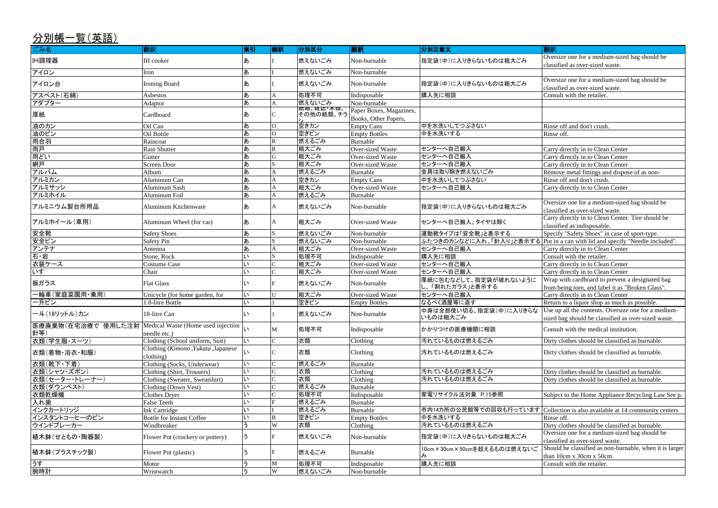| -- | -<br>-<br>- | ۔ |
|----|-------------|---|
|    | -           |   |
|    |             |   |

Oversize one for a medium-sized bag should be classified as over-sized waste.

Oversize one for a medium-sized bag should be classified as over-sized waste. Consult with the retailer.

Rinse off and don't crush.

Carry directly in to Clean Center Carry directly in to Clean Center Carry directly in to Clean Center Remove metal fittings and dispose of as non-Rinse off and don't crush. Carry directly in to Clean Center

Oversize one for a medium-sized bag should be classified as over-sized waste.

Carry directly in to Clean Center. Tire should be classified as indisposable.

Specify "Safety Shoes" in case of sport-type.

Put in a can with lid and specify "Needle included". Carry directly in to Clean Center

Carry directly in to Clean Center

Carry directly in to Clean Center

Should be classified as non-burnable, when it is larger than 10cm x 30cm x 50cm. Consult with the retailer.

| ごみ名                                                           | 翻訳                                              | 索引           | 翻訳                      | 分別区分                    | 翻訳                                              | 分別注意文                                                          | 翻訳                                                       |
|---------------------------------------------------------------|-------------------------------------------------|--------------|-------------------------|-------------------------|-------------------------------------------------|----------------------------------------------------------------|----------------------------------------------------------|
| <b>IH調理器</b>                                                  | <b>IH</b> cooker                                | あ            |                         | 燃えないごみ                  | Non-burnable                                    | 指定袋(中)に入りきらないものは粗大ごみ                                           | Oversize one for a mediu<br>classified as over-sized v   |
| アイロン                                                          | Iron                                            | あ            |                         | 燃えないごみ                  | Non-burnable                                    |                                                                |                                                          |
| アイロン台                                                         | <b>Ironing Board</b>                            | あ            |                         | 燃えないごみ                  | Non-burnable                                    | 指定袋(中)に入りきらないものは粗大ごみ                                           | Oversize one for a mediu<br>classified as over-sized v   |
| アスベスト(石綿)                                                     | Asbestos                                        | あ            |                         | 処理不可                    | Indisposable                                    | 購入先に相談                                                         | Consult with the retailer.                               |
| アダプター                                                         | Adaptor                                         | ぁ            |                         | 燃えないごみ                  | Non-burnable                                    |                                                                |                                                          |
| 厚紙                                                            | Cardboard                                       | あ            |                         | 祇相、雑誌"本親、<br> その他の紙類、チラ | Paper Boxes, Magazines,<br>Books, Other Papers, |                                                                |                                                          |
| 油のカン                                                          | Oil Can                                         | あ            | $\Omega$                | 空きカン                    | <b>Empty Cans</b>                               | 中を水洗いしてつぶさない                                                   | Rinse off and don't crush                                |
| 油のビン                                                          | Oil Bottle                                      | あ            | lO                      | 空きビン                    | <b>Empty Bottles</b>                            | 中を水洗いする                                                        | Rinse off.                                               |
| 雨合羽                                                           | Raincoat                                        | あ            | $\overline{\mathsf{R}}$ | 燃えるごみ                   | Burnable                                        |                                                                |                                                          |
| 雨戸                                                            | Rain Shutter                                    | あ            | $\overline{\mathbf{R}}$ | 粗大ごみ                    | Over-sized Waste                                | センターへ自己搬入                                                      | Carry directly in to Clear                               |
| 雨どい                                                           | Gutter                                          | あ            | G                       | 粗大ごみ                    | Over-sized Waste                                | センターへ自己搬入                                                      | Carry directly in to Clear                               |
| 網戸                                                            | <b>Screen Door</b>                              | ぁ            | S.                      | 粗大ごみ                    | Over-sized Waste                                | センターへ自己搬入                                                      | Carry directly in to Clear                               |
| アルバム                                                          | Album                                           | あ            | A                       | 燃えるごみ                   | Burnable                                        | 金具は取り除き燃えないごみ                                                  | Remove metal fittings ar                                 |
| アルミカン                                                         | Aluminum Can                                    | ぁ            |                         | 空きカン                    | <b>Empty Cans</b>                               | 中を水洗いしてつぶさない                                                   | Rinse off and don't crush                                |
| アルミサッシ                                                        | Aluminum Sash                                   | あ            |                         | 粗大ごみ                    | <b>Over-sized Waste</b>                         | センターへ自己搬入                                                      | Carry directly in to Clear                               |
| アルミホイル                                                        | Aluminum Foil                                   | あ            |                         | 燃えるごみ                   | Burnable                                        |                                                                |                                                          |
| アルミニウム製台所用品                                                   | Aluminum Kitchenware                            | あ            |                         | 燃えないごみ                  | Non-burnable                                    | 指定袋(中)に入りきらないものは粗大ごみ                                           | Oversize one for a mediu                                 |
|                                                               |                                                 |              |                         |                         |                                                 |                                                                | classified as over-sized v<br>Carry directly in to Clear |
| アルミホイール(車用)                                                   | Aluminum Wheel (for car)                        | あ            |                         | 粗大ごみ                    | <b>Over-sized Waste</b>                         | センターへ自己搬入。タイヤは除く                                               | classified as indisposable                               |
| 安全靴                                                           | <b>Safety Shoes</b>                             | あ            |                         | 燃えないごみ                  | Non-burnable                                    | 運動靴タイプは「安全靴」と表示する                                              | Specify "Safety Shoes" is                                |
| 安全ピン                                                          | <b>Safety Pin</b>                               | あ            | S                       | 燃えないごみ                  | Non-burnable                                    | ふたつきのカンなどに入れ、「針入り」と表示する Put in a can with lid and              |                                                          |
| アンテナ                                                          | Antenna                                         | あ            |                         | 粗大ごみ                    | Over-sized Waste                                | センターへ自己搬入                                                      | Carry directly in to Clear                               |
| 石・岩                                                           | Stone, Rock                                     | い            |                         | 処理不可                    | Indisposable                                    | 購入先に相談                                                         | Consult with the retailer.                               |
| 衣装ケース                                                         | Costume Case                                    | い            |                         | 粗大ごみ                    | <b>Over-sized Waste</b>                         | センターへ自己搬入                                                      | Carry directly in to Clear                               |
| いす                                                            | Chair                                           | い            |                         | 粗大ごみ                    | Over-sized Waste                                | センターへ自己搬入                                                      | Carry directly in to Clear                               |
| 板ガラス                                                          | <b>Flat Glass</b>                               | い            |                         | 燃えないごみ                  | Non-burnable                                    | 厚紙に包むなどして、指定袋が破れないように<br>し、「割れたガラス」と表示する                       | Wrap with cardboard to                                   |
|                                                               |                                                 |              | U                       | 粗大ごみ                    | Over-sized Waste                                |                                                                | from being torn, and labe                                |
| 一輪車(家庭菜園用·乗用)                                                 | Unicycle (for home garden, for                  | い            |                         |                         |                                                 | センターへ自己搬入                                                      | Carry directly in to Clear                               |
| 一升ビン                                                          | 1.8-litre Bottle                                | L١           |                         | 空きビン                    | <b>Empty Bottles</b>                            | なるべく酒屋等に返す                                                     | Return to a liquor shop a                                |
| 一斗(18リットル)カン                                                  | 18-litre Can                                    | $\mathbf{L}$ |                         | 燃えないごみ                  | Non-burnable                                    | 中身は全部使い切る。指定袋(中)に入りきらな  Use up all the contents. 0<br>いものは粗大ごみ | sized bag should be class                                |
| 医療廃棄物(在宅治療で 使用した注射  Medical Waste (Home used injection<br>針等) | needle etc.)                                    | lu           | M                       | 処理不可                    | Indisposable                                    | かかりつけの医療機関に相談                                                  | Consult with the medical                                 |
| 衣類(学生服・スーツ)                                                   | Clothing (School uniform, Suit)                 | $\mathsf{L}$ | $\mathsf{C}$            | 衣類                      | Clothing                                        | 汚れているものは燃えるごみ                                                  | Dirty clothes should be o                                |
| 衣類(着物・浴衣・和服)                                                  | Clothing (Kimono, Yukata, Japanese<br>clothing) | L١           |                         | 衣類                      | Clothing                                        | 汚れているものは燃えるごみ                                                  | Dirty clothes should be o                                |
| 衣類(靴下·下着)                                                     | Clothing (Socks, Underwear)                     | い            |                         | 燃えるごみ                   | Burnable                                        |                                                                |                                                          |
| 衣類(シャツ・ズボン)                                                   | Clothing (Shirt, Trousers)                      | L١           |                         | 衣類                      | Clothing                                        | 汚れているものは燃えるごみ                                                  | Dirty clothes should be o                                |
| 衣類(セーター・トレーナー)                                                | Clothing (Sweater, Sweatshirt)                  | い            |                         | 衣類                      | Clothing                                        | 汚れているものは燃えるごみ                                                  | Dirty clothes should be o                                |
| 衣類(ダウンベスト)                                                    | Clothing (Down Vest)                            | l١           |                         | 燃えるごみ                   | Burnable                                        |                                                                |                                                          |
| 衣類乾燥機                                                         | Clothes Dryer                                   | い            |                         | 処理不可                    | Indisposable                                    | 家電リサイクル法対象 P.15参照                                              | Subject to the Home App                                  |
| 入れ歯                                                           | False Teeth                                     | い            |                         | 燃えるごみ                   | Burnable                                        |                                                                |                                                          |
| インクカートリッジ                                                     | Ink Cartridge                                   | l١           |                         | 燃えるごみ                   | Burnable                                        | 市内14カ所の公民館等での回収も行っています                                         | Collection is also available                             |
| インスタントコーヒーのビン                                                 | <b>Bottle for Instant Coffee</b>                | い            | B                       | 空きビン                    | <b>Empty Bottles</b>                            | 中を水洗いする                                                        | Rinse off.                                               |
| ウインドブレーカー                                                     | Windbreaker                                     | う            | W                       | 衣類                      | Clothing                                        | 汚れているものは燃えるごみ                                                  | $\overline{_{\text{Dirt}}}$ y clothes should be c        |
|                                                               |                                                 |              |                         |                         |                                                 |                                                                | Oversize one for a mediu                                 |
| 植木鉢(せともの・陶器製)                                                 | Flower Pot (crockery or pottery)                | ぅ            |                         | 燃えないごみ                  | Non-burnable                                    | 指定袋(中)に入りきらないものは粗大ごみ                                           | classified as over-sized v                               |
| 植木鉢(プラスチック製)                                                  | Flower Pot (plastic)                            | う            |                         | 燃えるごみ                   | Burnable                                        | 10cm×30cm×50cmを超えるものは燃えないご<br>み                                | Should be classified as n<br>than 10cm x 30cm x 50c      |
| うす                                                            | Motor                                           | う            | $\mathbf M$             | 処理不可                    | Indisposable                                    | 購入先に相談                                                         | Consult with the retailer.                               |

腕時計 |Wristwatch |う |W |燃えないごみ |Non-burnable

Wrap with cardboard to prevent a designated bag from being torn, and label it as "Broken Glass".

Carry directly in to Clean Center Return to a liquor shop as much as possible.

Use up all the contents. Oversize one for a mediumsized bag should be classified as over-sized waste.

Consult with the medical institution.

Dirty clothes should be classified as burnable.

Dirty clothes should be classified as burnable.

Dirty clothes should be classified as burnable. Dirty clothes should be classified as burnable.

Subject to the Home Appliance Recycling Law See p.

Collection is also available at 14 community centers

Dirty clothes should be classified as burnable. Oversize one for a medium-sized bag should be

classified as over-sized waste.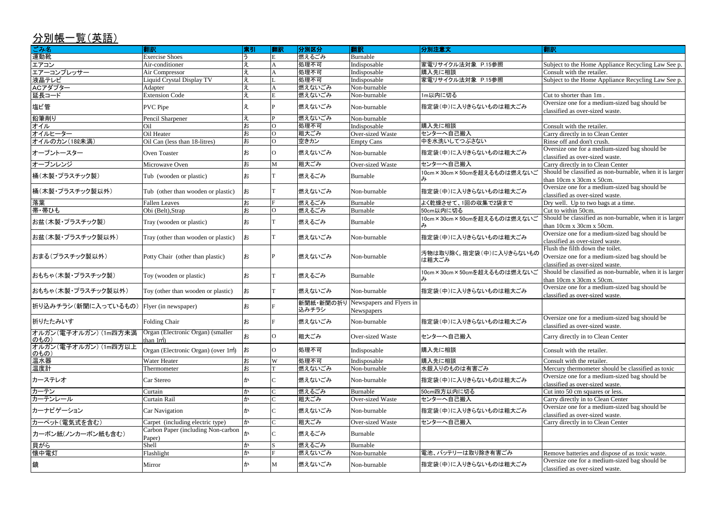### 分別帳一覧(英語) ごみ名 翻訳 索引 翻訳 分別区分 翻訳 分別注意文 翻訳 運動靴 Fxercise Shoes ことには トラック E 燃えるごみ Burnable エアコン インタン Air-conditioner インタン マイト マイト A 小型不可 Indisposable 家電リサイクル法対象 P.15参照 エアーコンプレッサー Air Compressor え A 処理不可 Indisposable 購入先に相談 Consult with the retailer. 液晶テレビ インディスク Niquid Crystal Display TV インプレス レコント | 処理不可 | Indisposable | 家電リサイクル法対象 P.15参照 ACアダプター Adapter え A 燃えないごみ Non-burnable 延長コード Extension Code え E 燃えないごみ Non-burnable 1m以内に切る Cut to shorter than 1m . 塩ビ管 マンクリング マンクリング マンクリング マンクリング マンター (燃えないごみ Non-burnable )指定袋(中)に入りきらないものは粗大ごみ Oversize one for a medium-sized bag should be 鉛筆削り インファイン Pencil Sharpener インファイン マイクロ マイクロ 燃えないごみ Non-burnable オイル Oil お O 処理不可 Indisposable 購入先に相談 Consult with the retailer. オイルヒーター Oil Heater お O 粗大ごみ Over-sized Waste センターへ自己搬入 Carry directly in to Clean Center オイルのカン(18ℓ未満) |Oil Can (less than 18-litres) |お |O |空きカン |Empty Cans |中を水洗いしてつぶさない オーブントースター ついen Toaster お お o 燃えないごみ Non-burnable 指定袋(中)に入りきらないものは粗大ごみ Oversize one for a medium-sized bag should be オーブンレンジ | Microwave Oven |お M M | 粗大ごみ | Over-sized Waste |センターへ自己搬入 | Carry directly in to Clean Center 桶(木製・プラスチック製) Tub (wooden or plastic) <sup>お</sup> <sup>T</sup> 燃えるごみ Burnable 10cm×30cm×50cmを超えるものは燃えないご み 桶(木製・プラスチック製以外) I Tub (other than wooden or plastic) お I 燃えないごみ Non-burnable |指定袋(中)に入りきらないものは粗大ごみ Oversize one for a medium-sized bag should be 落葉 Fallen Leaves お Fallen Leaves お お F 燃えるごみ Burnable よく乾燥させて、1回の収集で2袋まで 帯・帯ひも Obi (Belt),Strap お O 燃えるごみ Burnable 50cm以内に切る Cut to within 50cm. お盆(木製・プラスチック製) Tray (wooden or plastic) <sup>お</sup> <sup>T</sup> 燃えるごみ Burnable 10cm×30cm×50cmを超えるものは燃えないご み お盆(木製・プラスチック製以外) | Tray (other than wooden or plastic) |お | | 燃えないごみ | Non-burnable | 指定袋(中)に入りきらないものは粗大ごみ おまる(プラスチック製以外) Potty Chair (other than plastic) お P 燃えないごみ Non-burnable 清物は取り除く。指定袋(中)に入りきらないもの は粗大ごみ おもちゃ(木製・プラスチック製)  $\begin{matrix} \text{Toy (wooden or plastic)} \\ \text{Toy (wooden or plastic)} \end{matrix}$ お T 燃えるごみ Burnable  $\begin{matrix} 10 \text{ cm} \times 30 \text{ cm} \times 50 \text{ cm} \text{m} \times 30 \text{ cm} \times 50 \text{ cm} \text{m} \times 50 \text{ m} \times 50 \text{ m} \times 50 \text{ m} \times 50 \text{ m} \times 50 \text{ m} \times 50 \text{ m} \times 50 \text{ m} \times 50 \text{ m} \times 50$ み おもちゃ(木製・プラスチック製以外) Toy (other than wooden or plastic) お T 燃えないごみ Non-burnable |指定袋(中)に入りきらないものは粗大ごみ Oversize one for a medium-sized bag should be |折り込みチラシ(新聞に入っているもの)|Flyer (in newspaper) | お 新聞紙・新聞の折り Newspapers and Flyers in 込みチラシ **Newspapers** 折りたたみいす インプレント Folding Chair インプレント お テ 燃えないごみ Non-burnable 指定袋(中)に入りきらないものは粗大ごみ Oversize one for a medium-sized bag should be オルガン(電子オルガン) (1m四方未満 のもの) Organ (Electronic Organ) (smaller than 1mຶ່າ O 相大ごみ | Over-sized Waste |センターへ自己搬入 オルガン(電子オルガン) (1m四方以上 オルカン(電子オルカン) (im函カ以工 Organ (Electronic Organ) (over 1㎡) お O M型不可 Indisposable 購入先に相談 Consult with the retailer. 温水器 インタン インタン インタン マンタン マンタン トランプ マンタン トランプ マーク マーク マンタン マンタン こうしゃ 国家 こうしゃ 国家 そうしゃ こうしゃ こうしゃ こうしゃ こうしゃ こうしょう 温度計 インタントン Thermometer インプレント あ プロ 燃えないごみ Non-burnable 水銀入りのものは有害ごみ Mercury thermometer should be classified as toxic カーステレオ Car Stereo <sup>か</sup> <sup>C</sup> 燃えないごみ Non-burnable 指定袋(中)に入りきらないものは粗大ごみ Oversize one for a medium-sized bag should be カーテン |か |C |燃えるごみ |Burnable |50cm四方以内に切る |Cut into 50 cm squares or less. カーテンレール Curtain Rail か C 粗大ごみ Over-sized Waste センターへ自己搬入 Carry directly in to Clean Center |カーナビゲーション |Car Navigation |か |C |燃えないごみ |Non-burnable |指定袋(中)に入りきらないものは粗大ごみ カーペット(電気式を含む) |Carpet (including electric type) |か |C |粗大ごみ |Over-sized Waste |センターへ自己搬入 カーボン紙(ノンカーボン紙も含む) Carbon Paper (including Non-carbon C 燃えるごみ Burnable<br>Paper) Paper 貝がら Shell か S 燃えるごみ Burnable

懐中電灯 Flashlight Flashlight ファイト Remove Batteries Apple Batteries Apple Batteries and dispose of a<br>|おいては、それは、それは、それは、それは、それは、それは、それは取り除き有害ごみ

鏡 Mirror インタートングラックスタートの Mirror しか M 燃えないごみ Non-burnable 自定袋(中)に入りきらないものは粗大ごみ Oversize one for a medium-sized bag should be classified as over-sized waste.

| Subject to the Home Appliance Recycling Law See p.      |
|---------------------------------------------------------|
| Consult with the retailer.                              |
| Subject to the Home Appliance Recycling Law See p.      |
|                                                         |
| Cut to shorter than 1m.                                 |
| Oversize one for a medium-sized bag should be           |
| classified as over-sized waste.                         |
|                                                         |
| Consult with the retailer.                              |
|                                                         |
| Carry directly in to Clean Center                       |
| Rinse off and don't crush.                              |
| Oversize one for a medium-sized bag should be           |
| classified as over-sized waste.                         |
| Carry directly in to Clean Center                       |
| Should be classified as non-burnable, when it is larger |
| than 10cm x 30cm x 50cm.                                |
| Oversize one for a medium-sized bag should be           |
| classified as over-sized waste.                         |
| Dry well. Up to two bags at a time.                     |
| Cut to within 50cm.                                     |
| Should be classified as non-burnable, when it is larger |
| than 10cm x 30cm x 50cm.                                |
| Oversize one for a medium-sized bag should be           |
| classified as over-sized waste.                         |
| Flush the filth down the toilet.                        |
|                                                         |
| Oversize one for a medium-sized bag should be           |
| classified as over-sized waste.                         |
| Should be classified as non-burnable, when it is larger |
| than $10cm x 30cm x 50cm$ .                             |
| Oversize one for a medium-sized bag should be           |
| classified as over-sized waste.                         |
|                                                         |
|                                                         |
| Oversize one for a medium-sized bag should be           |
| classified as over-sized waste.                         |
| Carry directly in to Clean Center                       |
|                                                         |
| Consult with the retailer.                              |
|                                                         |
| Consult with the retailer.                              |
| Mercury thermometer should be classified as toxic       |
| Oversize one for a medium-sized bag should be           |
| classified as over-sized waste.                         |
| Cut into 50 cm squares or less.                         |
| Carry directly in to Clean Center                       |
| Oversize one for a medium-sized bag should be           |
| classified as over-sized waste.                         |
| Carry directly in to Clean Center                       |
|                                                         |
|                                                         |
|                                                         |
|                                                         |
| Remove batteries and dispose of as toxic waste.         |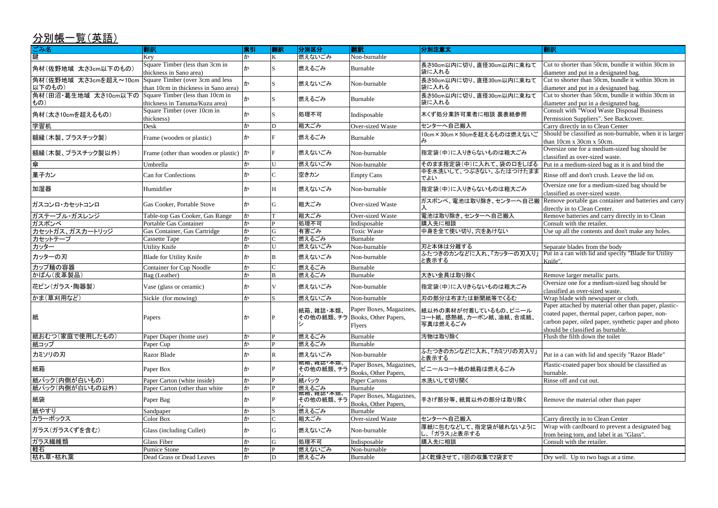| ごみ名                                                           | 翻訳                                                                       | 索引 | 翻訳           | 分別区分      | 翻訳                                              | 分別注意文                                                                               | 翻訳                                                                                                                                                                                                    |
|---------------------------------------------------------------|--------------------------------------------------------------------------|----|--------------|-----------|-------------------------------------------------|-------------------------------------------------------------------------------------|-------------------------------------------------------------------------------------------------------------------------------------------------------------------------------------------------------|
| 鍵                                                             | Key                                                                      | か  |              | 燃えないごみ    | Non-burnable                                    |                                                                                     |                                                                                                                                                                                                       |
| 角材(佐野地域 太さ3cm以下のもの)                                           | Square Timber (less than 3cm in<br>thickness in Sano area)               |    |              | 燃えるごみ     | Burnable                                        | 長さ50cm以内に切り、直径30cm以内に束ねて<br>袋に入れる                                                   | Cut to shorter than 50cm, bundle it within 30cm in<br>diameter and put in a designated bag.                                                                                                           |
| 角材(佐野地域 太さ3cmを超え~10cm<br>以下のもの)                               | Square Timber (over 3cm and less<br>than 10cm in thickness in Sano area) |    |              | 燃えないごみ    | Non-burnable                                    | 長さ50cm以内に切り、直径30cm以内に束ねて<br>袋に入れる                                                   | Cut to shorter than 50cm, bundle it within 30cm in<br>diameter and put in a designated bag.                                                                                                           |
| 角材(田沼・葛生地域 太さ10cm以下の Square Timber (less than 10cm in<br> もの) | thickness in Tanuma/Kuzu area)                                           |    |              | 燃えるごみ     | Burnable                                        | 長さ50cm以内に切り、直径30cm以内に束ねて<br>袋に入れる                                                   | Cut to shorter than 50cm, bundle it within 30cm in<br>diameter and put in a designated bag.                                                                                                           |
| 角材(太さ10cmを超えるもの)                                              | Square Timber (over 10cm in<br>thickness)                                | ゕ  |              | 処理不可      | Indisposable                                    | 木くず処分業許可業者に相談 裏表紙参照                                                                 | Consult with "Wood Waste Disposal Business<br>Permission Suppliers". See Backcover.                                                                                                                   |
| 学習机                                                           | Desk                                                                     | か  | ID           | 粗大ごみ      | Over-sized Waste                                | センターへ自己搬入                                                                           | Carry directly in to Clean Center                                                                                                                                                                     |
| 額縁(木製、プラスチック製)                                                | Frame (wooden or plastic)                                                | ゕ  |              | 燃えるごみ     | Burnable                                        | 10cm×30cm×50cmを超えるものは燃えないご                                                          | Should be classified as non-burnable, when it is larger<br>than 10cm x 30cm x 50cm.                                                                                                                   |
| 額縁(木製、プラスチック製以外)                                              | Frame (other than wooden or plastic) $  \phi  $                          |    |              | 燃えないごみ    | Non-burnable                                    | 指定袋(中)に入りきらないものは粗大ごみ                                                                | Oversize one for a medium-sized bag should be<br>classified as over-sized waste.                                                                                                                      |
| 傘                                                             | Umbrella                                                                 | か  | U            | 燃えないごみ    | Non-burnable                                    | そのまま指定袋(中)に入れて、袋の口をしばる                                                              | Put in a medium-sized bag as it is and bind the                                                                                                                                                       |
| 菓子カン                                                          | Can for Confections                                                      | ゕ  |              | 空きカン      | <b>Empty Cans</b>                               | 中を水洗いして、つぶさない。ふたはつけたまま<br>でよい                                                       | Rinse off and don't crush. Leave the lid on.                                                                                                                                                          |
| 加湿器                                                           | Humidifier                                                               | ゕ  | H            | 燃えないごみ    | Non-burnable                                    | 指定袋(中)に入りきらないものは粗大ごみ                                                                | Oversize one for a medium-sized bag should be<br>classified as over-sized waste.                                                                                                                      |
| ガスコンロ・カセットコンロ                                                 | Gas Cooker, Portable Stove                                               | ゕ  |              | 粗大ごみ      | Over-sized Waste                                | ガスボンベ、電池は取り除き、センターへ自己搬                                                              | Remove portable gas container and batteries and carry<br>directly in to Clean Center.                                                                                                                 |
| ガステーブル・ガスレンジ                                                  | Table-top Gas Cooker, Gas Range                                          | か  |              | 粗大ごみ      | Over-sized Waste                                | 電池は取り除き、センターへ自己搬入                                                                   | Remove batteries and carry directly in to Clean                                                                                                                                                       |
| ガスボンベ                                                         | Portable Gas Container                                                   | か  |              | 処理不可      | Indisposable                                    | 購入先に相談                                                                              | Consult with the retailer.                                                                                                                                                                            |
| カセットガス、ガスカートリッジ                                               | Gas Container, Gas Cartridge                                             | か  | G            | 有害ごみ      | <b>Toxic Waste</b>                              | 中身を全て使い切り、穴をあけない                                                                    | Use up all the contents and don't make any holes.                                                                                                                                                     |
| カセットテープ                                                       | <b>Cassette Tape</b>                                                     | か  |              | 燃えるごみ     | Burnable                                        |                                                                                     |                                                                                                                                                                                                       |
| カッター                                                          | <b>Utility Knife</b>                                                     | か  | <sup>I</sup> | 燃えないごみ    | Non-burnable                                    | 刃と本体は分離する                                                                           | Separate blades from the body                                                                                                                                                                         |
| カッターの刃                                                        | Blade for Utility Knife                                                  | ゕ  |              | 燃えないごみ    | Non-burnable                                    | ふたつきのカンなどに入れ、「カッターの刃入り」<br>と表示する                                                    | Put in a can with lid and specify "Blade for Utility<br>Knife".                                                                                                                                       |
| カップ麺の容器                                                       | <b>Container for Cup Noodle</b>                                          | か  |              | 燃えるごみ     | Burnable                                        |                                                                                     |                                                                                                                                                                                                       |
| かばん(皮革製品)                                                     | Bag (Leather)                                                            | か  | <sub>B</sub> | 燃えるごみ     | Burnable                                        | 大きい金具は取り除く                                                                          | Remove larger metallic parts.                                                                                                                                                                         |
| 花ビン(ガラス・陶器製)                                                  | Vase (glass or ceramic)                                                  | ゕ  |              | 燃えないごみ    | Non-burnable                                    | 指定袋(中)に入りきらないものは粗大ごみ                                                                | Oversize one for a medium-sized bag should be<br>classified as over-sized waste.                                                                                                                      |
| かま(草刈用など)                                                     | Sickle (for mowing)                                                      | か  |              | 燃えないごみ    | Non-burnable                                    | 刃の部分は布または新聞紙等でくるむ                                                                   | Wrap blade with newspaper or cloth.                                                                                                                                                                   |
| 紙                                                             | Papers                                                                   | ית |              | 紙箱、雑誌・本類、 | その他の紙類、チラ Books, Other Papers,<br><b>Flyers</b> | Paper Boxes, Magazines,  紙以外の素材が付着しているもの、ビニール<br>コート紙、感熱紙、カーボン紙、油紙、合成紙、<br>写真は燃えるごみ | Paper attached by material other than paper, plastic-<br>coated paper, thermal paper, carbon paper, non-<br>carbon paper, oiled paper, synthetic paper and photo<br>should be classified as burnable. |
| 紙おむつ(家庭で使用したもの)                                               | Paper Diaper (home use)                                                  | か  |              | 燃えるごみ     | Burnable                                        | 汚物は取り除く                                                                             | Flush the filth down the toilet                                                                                                                                                                       |
| 紙コップ                                                          | Paper Cup                                                                | か  |              | 燃えるごみ     | Burnable                                        |                                                                                     |                                                                                                                                                                                                       |
| カミソリの刃                                                        | Razor Blade                                                              | ゕ  |              | 燃えないごみ    | Non-burnable                                    | ふたつきのカンなどに入れ、「カミソリの刃入り」<br>と表示する                                                    | Put in a can with lid and specify "Razor Blade"                                                                                                                                                       |
| 紙箱                                                            | Paper Box                                                                | ゕ  |              |           | Paper Boxes, Magazines,<br>Books, Other Papers, | ビニールコート紙の紙箱は燃えるごみ                                                                   | Plastic-coated paper box should be classified as<br>burnable.                                                                                                                                         |
| 紙パック(内側が白いもの)                                                 | Paper Carton (white inside)                                              | か  |              | 紙パック      | <b>Paper Cartons</b>                            | 水洗いして切り開く                                                                           | Rinse off and cut out.                                                                                                                                                                                |
| 紙パック(内側が白いもの以外)                                               | Paper Carton (other than white                                           | か  |              | 燃えるごみ     | Burnable                                        |                                                                                     |                                                                                                                                                                                                       |
| 紙袋                                                            | Paper Bag                                                                | ゕ  |              |           | Paper Boxes, Magazines,<br>Books, Other Papers, | 手さげ部分等、紙質以外の部分は取り除く                                                                 | Remove the material other than paper                                                                                                                                                                  |
| 紙やすり                                                          | Sandpaper                                                                | か  |              | 燃えるごみ     | Burnable                                        |                                                                                     |                                                                                                                                                                                                       |
| カラーボックス                                                       | Color Box                                                                | か  |              | 粗大ごみ      | Over-sized Waste                                | センターへ自己搬入                                                                           | Carry directly in to Clean Center                                                                                                                                                                     |
| ガラス(ガラスくずを含む)                                                 | Glass (including Cullet)                                                 | ゕ  |              | 燃えないごみ    | Non-burnable                                    | 厚紙に包むなどして、指定袋が破れないように<br>し、「ガラス」と表示する                                               | Wrap with cardboard to prevent a designated bag<br>from being torn, and label it as "Glass".                                                                                                          |
| ガラス繊維類                                                        | <b>Glass Fiber</b>                                                       | か  | IG           | 処理不可      | Indisposable                                    | 購入先に相談                                                                              | Consult with the retailer.                                                                                                                                                                            |
| 軽石                                                            | <b>Pumice Stone</b>                                                      | か  |              | 燃えないごみ    | Non-burnable                                    |                                                                                     |                                                                                                                                                                                                       |
| 枯れ草・枯れ葉                                                       | Dead Grass or Dead Leaves                                                | か  | D            | 燃えるごみ     | Burnable                                        | よく乾燥させて、1回の収集で2袋まで                                                                  | Dry well. Up to two bags at a time.                                                                                                                                                                   |
|                                                               |                                                                          |    |              |           |                                                 |                                                                                     |                                                                                                                                                                                                       |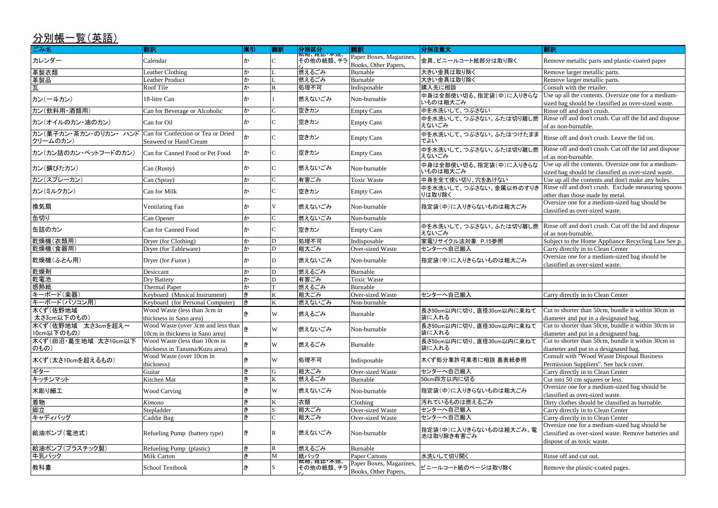sized bag should be classified as over-sized waste. Rinse off and don't crush.

Use up all the contents. Oversize one for a medium-

Rinse off and don't crush. Cut off the lid and dispose of as non-burnable.

Use up all the contents and don't make any holes. Rinse off and don't crush. Exclude measuring spoons other than those made by metal.

Rinse off and don't crush. Cut off the lid and dispose of as non-burnable.

Use up all the contents. Oversize one for a mediumsized bag should be classified as over-sized waste.

Rinse off and don't crush. Cut off the lid and dispose of as non-burnable.

Subject to the Home Appliance Recycling Law See p. Carry directly in to Clean Center

| ごみ名                                                                    | 翻訳                                                                                                 | 索引     | 翻訳 | 分別区分                    | 翻訳                                              | 分別注意文                                | 翻訳                                                                                                                           |
|------------------------------------------------------------------------|----------------------------------------------------------------------------------------------------|--------|----|-------------------------|-------------------------------------------------|--------------------------------------|------------------------------------------------------------------------------------------------------------------------------|
| カレンダー                                                                  | Calendar                                                                                           |        |    | 概相、雑誌"本親、<br> その他の紙類、チラ | Paper Boxes, Magazines,<br>Books, Other Papers, | 金具、ビニールコート紙部分は取り除く                   | Remove metallic parts and plastic-coated pape                                                                                |
| 革製衣類                                                                   | Leather Clothing                                                                                   | か      |    | 燃えるごみ                   | Burnable                                        | 大きい金具は取り除く                           | Remove larger metallic parts.                                                                                                |
| 品製革                                                                    | <b>Leather Product</b>                                                                             |        |    | 燃えるごみ                   | Burnable                                        | 大きい金具は取り除く                           | Remove larger metallic parts.                                                                                                |
| 瓦                                                                      | Roof Tile                                                                                          |        |    | 処理不可                    | Indisposable                                    | 購入先に相談                               | Consult with the retailer.                                                                                                   |
| カン(一斗カン)                                                               | 18-litre Can                                                                                       |        |    | 燃えないごみ                  | Non-burnable                                    | 中身は全部使い切る。指定袋(中)に入りきらな<br>いものは粗大ごみ   | Use up all the contents. Oversize one for a me<br>sized bag should be classified as over-sized wa                            |
| カン(飲料用·酒類用)                                                            | Can for Beverage or Alcoholic                                                                      | か      |    | 空きカン                    | Empty Cans                                      | 中を水洗いして、つぶさない                        | Rinse off and don't crush.                                                                                                   |
| カン(オイルのカン・油のカン)                                                        | Can for Oil                                                                                        |        |    | 空きカン                    | <b>Empty Cans</b>                               | 中を水洗いして、つぶさない。ふたは切り離し燃<br>えないごみ      | Rinse off and don't crush. Cut off the lid and d<br>of as non-burnable.                                                      |
| カン(菓子カン・茶カン・のりカン・ ハンド   Can for Confection or Tea or Dried<br>クリームのカン) | Seaweed or Hand Cream                                                                              |        |    | 空きカン                    | <b>Empty Cans</b>                               | 中を水洗いして、つぶさない。ふたはつけたまま<br>でよい        | Rinse off and don't crush. Leave the lid on.                                                                                 |
| カン(カン詰のカン・ペットフードのカン)                                                   | Can for Canned Food or Pet Food                                                                    | ∣y     |    | 空きカン                    | <b>Empty Cans</b>                               | 中を水洗いして、つぶさない。ふたは切り離し燃<br>えないごみ      | Rinse off and don't crush. Cut off the lid and d<br>of as non-burnable.                                                      |
| カン(錆びたカン)                                                              | Can (Rusty)                                                                                        | ゕ      |    | 燃えないごみ                  | Non-burnable                                    | 中身は全部使い切る。指定袋(中)に入りきらな<br>いものは粗大ごみ   | Use up all the contents. Oversize one for a me<br>sized bag should be classified as over-sized was                           |
| カン(スプレーカン)                                                             | Can (Spray)                                                                                        | か      |    | 有害ごみ                    | <b>Toxic Waste</b>                              | 中身を全て使い切り、穴をあけない                     | Use up all the contents and don't make any ho                                                                                |
|                                                                        | Can for Milk                                                                                       |        |    |                         |                                                 | 中を水洗いして、つぶさない。金属以外のすりき               | Rinse off and don't crush. Exclude measuring                                                                                 |
| カン(ミルクカン)                                                              |                                                                                                    |        |    | 空きカン                    | <b>Empty Cans</b>                               | りは取り除く                               | other than those made by metal.                                                                                              |
| 換気扇                                                                    | <b>Ventilating Fan</b>                                                                             | ゕ      |    | 燃えないごみ                  | Non-burnable                                    | 指定袋(中)に入りきらないものは粗大ごみ                 | Oversize one for a medium-sized bag should b<br>classified as over-sized waste.                                              |
| 缶切り                                                                    | Can Opener                                                                                         | か      |    | 燃えないごみ                  | Non-burnable                                    |                                      |                                                                                                                              |
| 缶詰のカン                                                                  | Can for Canned Food                                                                                |        |    | 空きカン                    | <b>Empty Cans</b>                               | 中を水洗いして、つぶさない。ふたは切り離し燃<br>えないごみ      | Rinse off and don't crush. Cut off the lid and d<br>of as non-burnable.                                                      |
| 乾燥機(衣類用)                                                               | Dryer (for Clothing)                                                                               | か      |    | 処理不可                    | Indisposable                                    | 家電リサイクル法対象 P.15参照                    | Subject to the Home Appliance Recycling Lav                                                                                  |
| 乾燥機(食器用)                                                               | Dryer (for Tableware)                                                                              | か      |    | 粗大ごみ                    | Over-sized Waste                                | センターへ自己搬入                            | Carry directly in to Clean Center                                                                                            |
| 乾燥機(ふとん用)                                                              | Dryer (for Futon)                                                                                  |        |    | 燃えないごみ                  | Non-burnable                                    | 指定袋(中)に入りきらないものは粗大ごみ                 | Oversize one for a medium-sized bag should b<br>classified as over-sized waste.                                              |
| 乾燥剤                                                                    | Desiccant                                                                                          | か      | ID | 燃えるごみ                   | Burnable                                        |                                      |                                                                                                                              |
| 乾電池                                                                    | <b>Dry Battery</b>                                                                                 | か      | ID | 有害ごみ                    | <b>Toxic Waste</b>                              |                                      |                                                                                                                              |
| 感熱紙                                                                    | <b>Thermal Paper</b>                                                                               | か      |    | 燃えるごみ                   | Burnable                                        |                                      |                                                                                                                              |
| キーボード(楽器)                                                              | Keyboard (Musical Instrument)                                                                      | l#     |    | 粗大ごみ                    | Over-sized Waste                                | センターへ自己搬入                            | Carry directly in to Clean Center                                                                                            |
| キーボード(パソコン用)                                                           | Keyboard (for Personal Computer)                                                                   | lき     |    | 燃えないごみ                  | Non-burnable                                    |                                      |                                                                                                                              |
| 木くず (佐野地域<br>太さ3cm以下のもの)                                               | Wood Waste (less than 3cm in<br>thickness in Sano area)                                            |        | W  | 燃えるごみ                   | Burnable                                        | 長さ50cm以内に切り、直径30cm以内に束ねて<br>袋に入れる    | Cut to shorter than 50cm, bundle it within 30c<br>diameter and put in a designated bag.                                      |
| 木くず (佐野地域 太さ3cmを超え~<br>10cm以下のもの)                                      | Wood Waste (over 3cm and less than $\left  \frac{1}{5} \right $<br>10cm in thickness in Sano area) |        | W  | 燃えないごみ                  | Non-burnable                                    | 長さ50cm以内に切り、直径30cm以内に束ねて<br>袋に入れる    | Cut to shorter than 50cm, bundle it within 30c<br>diameter and put in a designated bag.                                      |
| 不くず(田沼·葛生地域 太さ10cm以下<br>のもの)                                           | Wood Waste (less than 10cm in<br>thickness in Tanuma/Kuzu area)                                    | i 추    | W  | 燃えるごみ                   | Burnable                                        | 長さ50cm以内に切り、直径30cm以内に束ねて<br>袋に入れる    | Cut to shorter than 50cm, bundle it within 30c<br>diameter and put in a designated bag.                                      |
| 木くず (太さ10cmを超えるもの)                                                     | Wood Waste (over 10cm in<br>thickness)                                                             | き      | W  | 処理不可                    | Indisposable                                    | 木くず処分業許可業者に相談 裏表紙参照                  | Consult with "Wood Waste Disposal Business<br>Permission Suppliers". See back cover.                                         |
| ギター                                                                    | Guitar                                                                                             | き      |    | 粗大ごみ                    | Over-sized Waste                                | センターへ自己搬入                            | Carry directly in to Clean Center                                                                                            |
| キッチンマット                                                                | Kitchen Mat                                                                                        | き      |    | 燃えるごみ                   | Burnable                                        | 50cm四方以内に切る                          | Cut into 50 cm squares or less.                                                                                              |
| 木彫り細工                                                                  | <b>Wood Carving</b>                                                                                | き      | W  | 燃えないごみ                  | Non-burnable                                    | 指定袋(中)に入りきらないものは粗大ごみ                 | Oversize one for a medium-sized bag should b<br>classified as over-sized waste.                                              |
| 着物                                                                     | Kimono                                                                                             | き      |    | 衣類                      | Clothing                                        | 汚れているものは燃えるごみ                        | Dirty clothes should be classified as burnable.                                                                              |
| 脚立                                                                     | Stepladder                                                                                         | き      |    | 粗大ごみ                    | <b>Over-sized Waste</b>                         | センターへ自己搬入                            | Carry directly in to Clean Center                                                                                            |
| キャディバッグ                                                                | Caddie Bag                                                                                         | き<br>さ |    | 粗大ごみ                    | Over-sized Waste                                | センターへ自己搬入                            | Carry directly in to Clean Center                                                                                            |
| 給油ポンプ(電池式)                                                             | Refueling Pump (battery type)                                                                      | ∣ŧ     |    | 燃えないごみ                  | Non-burnable                                    | 指定袋(中)に入りきらないものは粗大ごみ。電<br>池は取り除き有害ごみ | Oversize one for a medium-sized bag should b<br>classified as over-sized waste. Remove batteri<br>dispose of as toxic waste. |
| 給油ポンプ(プラスチック製)                                                         | Refueling Pump (plastic)                                                                           | き      |    | 燃えるごみ                   | Burnable                                        |                                      |                                                                                                                              |
| 牛乳パック                                                                  | <b>Milk Carton</b>                                                                                 | き      |    | 紙パック                    | <b>Paper Cartons</b>                            | 水洗いして切り開く                            | Rinse off and cut out.                                                                                                       |
| 教科書                                                                    | School Textbook                                                                                    | き      |    | (机相、(稚誌 人)<br>その他の紙類、チラ | Paper Boxes, Magazines,<br>Books, Other Papers, | ビニールコート紙のページは取り除く                    | Remove the plastic-coated pages.                                                                                             |

Cut to shorter than 50cm, bundle it within 30cm in diameter and put in a designated bag. Cut to shorter than 50cm, bundle it within 30cm in diameter and put in a designated bag. Cut to shorter than 50cm, bundle it within 30cm in diameter and put in a designated bag.<br>Consult with "Wood Waste Disposal Business Permission Suppliers". See back cover. Carry directly in to Clean Center Cut into 50 cm squares or less. Oversize one for a medium-sized bag should be classified as over-sized waste. Dirty clothes should be classified as burnable. Carry directly in to Clean Center Carry directly in to Clean Center Oversize one for a medium-sized bag should be classified as over-sized waste. Remove batteries and dispose of as toxic waste.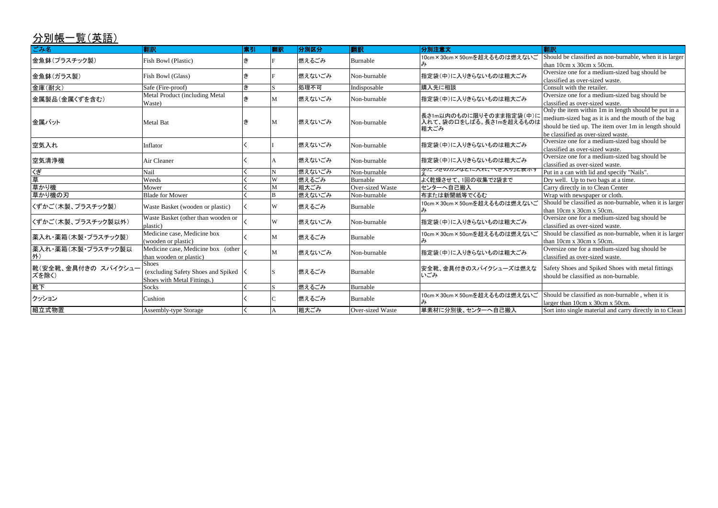| <u>分別帳一覧(英語)</u>             |                                                                                   |    |    |        |                         |                                                            |                                                                                                                                                                                                          |
|------------------------------|-----------------------------------------------------------------------------------|----|----|--------|-------------------------|------------------------------------------------------------|----------------------------------------------------------------------------------------------------------------------------------------------------------------------------------------------------------|
| ごみ名                          | 翻訳                                                                                | 索引 | 翻訳 | 分別区分   | 翻訳                      | 分別注意文                                                      | 翻訳                                                                                                                                                                                                       |
| 金魚鉢(プラスチック製)                 | Fish Bowl (Plastic)                                                               |    |    | 燃えるごみ  | Burnable                | 10cm×30cm×50cmを超えるものは燃えないご                                 | Should be classified as non-burnable, when it is larger<br>than 10cm x 30cm x 50cm.                                                                                                                      |
| 金魚鉢(ガラス製)                    | Fish Bowl (Glass)                                                                 | ∣≢ |    | 燃えないごみ | Non-burnable            | 指定袋(中)に入りきらないものは粗大ごみ                                       | Oversize one for a medium-sized bag should be<br>classified as over-sized waste.                                                                                                                         |
| 金庫(耐火)                       | Safe (Fire-proof)                                                                 | き  |    | 処理不可   | Indisposable            | 購入先に相談                                                     | Consult with the retailer.                                                                                                                                                                               |
| 金属製品(金属くずを含む)                | Metal Product (including Metal<br>Waste)                                          | 古  | M  | 燃えないごみ | Non-burnable            | 指定袋(中)に入りきらないものは粗大ごみ                                       | Oversize one for a medium-sized bag should be<br>classified as over-sized waste.                                                                                                                         |
| 金属バット                        | <b>Metal Bat</b>                                                                  |    | M  | 燃えないごみ | Non-burnable            | 長さ1m以内のものに限りそのまま指定袋(中)に<br>入れて、袋の口をしばる。長さ1mを超えるものは<br>粗大ごみ | Only the item within 1m in length should be put in a<br>medium-sized bag as it is and the mouth of the bag<br>should be tied up. The item over 1m in length should<br>be classified as over-sized waste. |
| 空気入れ                         | Inflator                                                                          |    |    | 燃えないごみ | Non-burnable            | 指定袋(中)に入りきらないものは粗大ごみ                                       | Oversize one for a medium-sized bag should be<br>classified as over-sized waste.                                                                                                                         |
| 空気清浄機                        | Air Cleaner                                                                       |    |    | 燃えないごみ | Non-burnable            | 指定袋(中)に入りきらないものは粗大ごみ                                       | Oversize one for a medium-sized bag should be<br>classified as over-sized waste.                                                                                                                         |
| 〈ぎ                           | Nail                                                                              |    |    | 燃えないごみ | Non-burnable            | ふにつさのカプなとに入れ、 いさ ハッ」と衣小 !                                  | Put in a can with lid and specify "Nails".                                                                                                                                                               |
| 草                            | Weeds                                                                             |    | W  | 燃えるごみ  | Burnable                | よく乾燥させて、1回の収集で2袋まで                                         | Dry well. Up to two bags at a time.                                                                                                                                                                      |
| 草かり機                         | Mower                                                                             |    | M  | 粗大ごみ   | <b>Over-sized Waste</b> | センターへ自己搬入                                                  | Carry directly in to Clean Center                                                                                                                                                                        |
| 草かり機の刃                       | <b>Blade for Mower</b>                                                            |    | B  | 燃えないごみ | Non-burnable            | 布または新聞紙等でくるむ                                               | Wrap with newspaper or cloth.                                                                                                                                                                            |
| 〈ずかご(木製、プラスチック製)             | Waste Basket (wooden or plastic)                                                  |    | W  | 燃えるごみ  | Burnable                | 10cm×30cm×50cmを超えるものは燃えないご                                 | Should be classified as non-burnable, when it is larger<br>than 10cm x 30cm x 50cm.                                                                                                                      |
| 〈ずかご(木製、プラスチック製以外)           | Waste Basket (other than wooden or<br>plastic)                                    |    | W  | 燃えないごみ | Non-burnable            | 指定袋(中)に入りきらないものは粗大ごみ                                       | Oversize one for a medium-sized bag should be<br>classified as over-sized waste.                                                                                                                         |
| 薬入れ・薬箱(木製・プラスチック製)           | Medicine case, Medicine box<br>(wooden or plastic)                                |    | M  | 燃えるごみ  | Burnable                | 10cm×30cm×50cmを超えるものは燃えないご                                 | Should be classified as non-burnable, when it is larger<br>than 10cm x 30cm x 50cm.                                                                                                                      |
| 薬入れ・薬箱(木製・プラスチック製以<br>外)     | Medicine case, Medicine box (other<br>than wooden or plastic)                     |    | M  | 燃えないごみ | Non-burnable            | 指定袋(中)に入りきらないものは粗大ごみ                                       | Oversize one for a medium-sized bag should be<br>classified as over-sized waste.                                                                                                                         |
| 靴(安全靴、金具付きの スパイクシュー<br>ズを除く) | <b>Shoes</b><br>(excluding Safety Shoes and Spiked<br>Shoes with Metal Fittings.) |    |    | 燃えるごみ  | Burnable                | 安全靴、金具付きのスパイクシューズは燃えな<br>いごみ                               | Safety Shoes and Spiked Shoes with metal fittings<br>should be classified as non-burnable.                                                                                                               |
| 靴下                           | Socks                                                                             |    |    | 燃えるごみ  | Burnable                |                                                            |                                                                                                                                                                                                          |
| クッション                        | Cushion                                                                           |    |    | 燃えるごみ  | Burnable                | 10cm×30cm×50cmを超えるものは燃えないご                                 | Should be classified as non-burnable, when it is<br>larger than 10cm x 30cm x 50cm.                                                                                                                      |
| 組立式物置                        | <b>Assembly-type Storage</b>                                                      |    |    | 粗大ごみ   | <b>Over-sized Waste</b> | 単素材に分別後、センターへ自己搬入                                          | Sort into single material and carry directly in to Clean                                                                                                                                                 |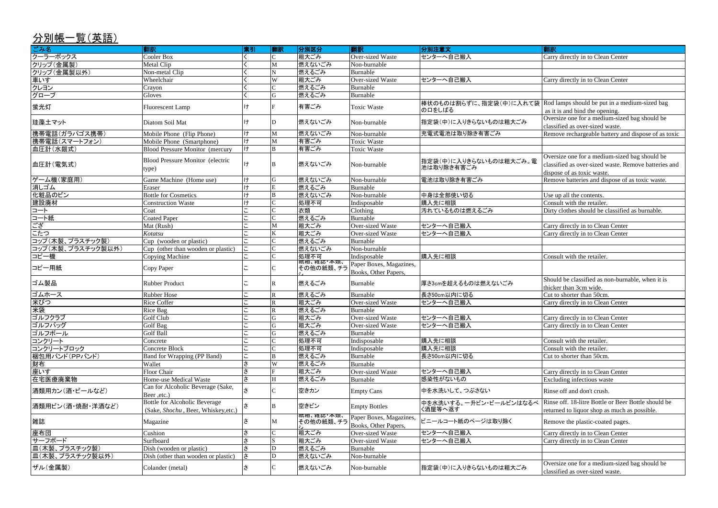Carry directly in to Clean Center

Carry directly in to Clean Center

**EXAMATE AND SOME AND SOME AND SOME OVERSIZE ONE ONE OPPOSITION** classified as over-sized waste.

Remove rechargeable battery and dispose of as toxic

Rod lamps should be put in a medium-sized bag as it is and bind the opening.

Oversize one for a medium-sized bag should be classified as over-sized waste. Remove batteries and dispose of as toxic waste.

Remove batteries and dispose of as toxic waste.

Dirty clothes should be classified as burnable.

Carry directly in to Clean Center Carry directly in to Clean Center

Should be classified as non-burnable, when it is thicker than 3cm wide.

Cut to shorter than 50cm. Carry directly in to Clean Center

Carry directly in to Clean Center Carry directly in to Clean Center

Carry directly in to Clean Center Excluding infectious waste

| ごみ名               | 翻訳                                                                   | 索引             | 翻訳           | 分別区分                    | 翻訳                                              | 分別注意文                                                    | 翻訳                                                                                   |
|-------------------|----------------------------------------------------------------------|----------------|--------------|-------------------------|-------------------------------------------------|----------------------------------------------------------|--------------------------------------------------------------------------------------|
| クーラーボックス          | <b>Cooler Box</b>                                                    |                |              | 粗大ごみ                    | Over-sized Waste                                | センターへ自己搬入                                                | Carry directly in to Clean                                                           |
| クリップ(金属製)         | Metal Clip                                                           |                | M            | 燃えないごみ                  | Non-burnable                                    |                                                          |                                                                                      |
| クリップ(金属製以外)       | Non-metal Clip                                                       |                |              | 燃えるごみ                   | Burnable                                        |                                                          |                                                                                      |
| 車いす               | Wheelchair                                                           |                | W            | 粗大ごみ                    | Over-sized Waste                                | センターへ自己搬入                                                | Carry directly in to Clean                                                           |
| クレヨン              | Crayon                                                               |                |              | 燃えるごみ                   | Burnable                                        |                                                          |                                                                                      |
| グローブ              | Gloves                                                               |                | $\mathbf G$  | 燃えるごみ                   | Burnable                                        |                                                          |                                                                                      |
| 蛍光灯               | <b>Fluorescent Lamp</b>                                              | け              |              | 有害ごみ                    | <b>Toxic Waste</b>                              | 棒状のものは割らずに、指定袋(中)に入れて袋 Rod lamps should be put<br>の口をしばる | as it is and bind the open                                                           |
| 珪藻土マット            | Diatom Soil Mat                                                      | ゖ              | D            | 燃えないごみ                  | Non-burnable                                    | 指定袋(中)に入りきらないものは粗大ごみ                                     | Oversize one for a mediu<br>classified as over-sized w                               |
| 携帯電話(ガラパゴス携帯)     | Mobile Phone (Flip Phone)                                            | H              | M            | 燃えないごみ                  | Non-burnable                                    | 充電式電池は取り除き有害ごみ                                           | Remove rechargeable bat                                                              |
| 携帯電話(スマートフォン)     | Mobile Phone (Smartphone)                                            | $\overline{1}$ | M            | 有害ごみ                    | <b>Toxic Waste</b>                              |                                                          |                                                                                      |
| 血圧計(水銀式)          | <b>Blood Pressure Monitor (mercury</b>                               | H              |              | 有害ごみ                    | Toxic Waste                                     |                                                          |                                                                                      |
| 血圧計(電気式)          | <b>Blood Pressure Monitor (electric</b><br>type)                     |                |              | 燃えないごみ                  | Non-burnable                                    | 括定袋(中)に入りきらないものは粗大ごみ。電<br>池は取り除き有害ごみ                     | Oversize one for a mediu<br>classified as over-sized w<br>dispose of as toxic waste. |
| ゲーム機(家庭用)         | Game Machine (Home use)                                              | lt+            | G            | 燃えないごみ                  | Non-burnable                                    | 電池は取り除き有害ごみ                                              | Remove batteries and dis                                                             |
| 消しゴム              | Eraser                                                               | $\uparrow$     |              | 燃えるごみ                   | Burnable                                        |                                                          |                                                                                      |
| 化粧品のビン            | <b>Bottle for Cosmetics</b>                                          | ゖ              |              | 燃えないごみ                  | Non-burnable                                    | 中身は全部使い切る                                                | Use up all the contents.                                                             |
| 建設廃材              | <b>Construction Waste</b>                                            |                |              | 処理不可                    | Indisposable                                    | 購入先に相談                                                   | Consult with the retailer.                                                           |
| トロ                | Coat                                                                 |                |              | 衣類                      | Clothing                                        | 汚れているものは燃えるごみ                                            | Dirty clothes should be cl                                                           |
| コート紙              | <b>Coated Paper</b>                                                  |                |              | 燃えるごみ                   | Burnable                                        |                                                          |                                                                                      |
| ້າງ               | Mat (Rush)                                                           |                | M            | 粗大ごみ                    | Over-sized Waste                                | センターへ自己搬入                                                | Carry directly in to Clean                                                           |
| こたつ               | Kotatsu                                                              |                | $\bf K$      | 粗大ごみ                    | Over-sized Waste                                | センターへ自己搬入                                                | Carry directly in to Clean                                                           |
| コップ(木製、プラスチック製)   |                                                                      |                |              | 燃えるごみ                   | Burnable                                        |                                                          |                                                                                      |
|                   | Cup (wooden or plastic)                                              |                |              | 燃えないごみ                  |                                                 |                                                          |                                                                                      |
| コップ(木製、プラスチック製以外) | Cup (other than wooden or plastic)                                   |                |              |                         | Non-burnable                                    |                                                          |                                                                                      |
| コピー機              | Copying Machine                                                      |                |              | 処理不可                    | Indisposable                                    | 購入先に相談                                                   | Consult with the retailer.                                                           |
| コピー用紙             | Copy Paper                                                           |                |              | その他の紙類、チラ               | Paper Boxes, Magazines,<br>Books, Other Papers, |                                                          |                                                                                      |
| ゴム製品              | <b>Rubber Product</b>                                                |                |              | 燃えるごみ                   | Burnable                                        | 厚さ3cmを超えるものは燃えないごみ                                       | Should be classified as no<br>thicker than 3cm wide.                                 |
| ゴムホース             | Rubber Hose                                                          |                |              | 燃えるごみ                   | Burnable                                        | 長さ50cm以内に切る                                              | Cut to shorter than 50cm.                                                            |
| 米びつ               | <b>Rice Coffer</b>                                                   |                |              | 粗大ごみ                    | <b>Over-sized Waste</b>                         | センターへ自己搬入                                                | Carry directly in to Clean                                                           |
| 米袋                | Rice Bag                                                             |                | $\mathbf{R}$ | 燃えるごみ                   | Burnable                                        |                                                          |                                                                                      |
| ゴルフクラブ            | Golf Club                                                            |                | $\mathbf G$  | 粗大ごみ                    | Over-sized Waste                                | センターへ自己搬入                                                | Carry directly in to Clean                                                           |
| ゴルフバッグ            | Golf Bag                                                             |                | G            | 粗大ごみ                    | Over-sized Waste                                | センターへ自己搬入                                                | Carry directly in to Clean                                                           |
| ゴルフボール            | <b>Golf Ball</b>                                                     |                | G            | 燃えるごみ                   | Burnable                                        |                                                          |                                                                                      |
| コンクリート            | Concrete                                                             |                |              | 処理不可                    | Indisposable                                    | 購入先に相談                                                   | Consult with the retailer.                                                           |
| コンクリートブロック        | Concrete Block                                                       |                |              | 処理不可                    | Indisposable                                    | 購入先に相談                                                   | Consult with the retailer.                                                           |
| 相包用バンド(PPバンド)     | Band for Wrapping (PP Band)                                          |                | В            | 燃えるごみ                   | Burnable                                        | 長さ50cm以内に切る                                              | Cut to shorter than 50cm.                                                            |
| 財布                | Wallet                                                               |                | W            | 燃えるごみ                   | Burnable                                        |                                                          |                                                                                      |
| 座いす               | Floor Chair                                                          |                | $F_{\rm}$    | 粗大ごみ                    | Over-sized Waste                                | センターへ自己搬入                                                | Carry directly in to Clean                                                           |
| 在宅医療廃棄物           | Home-use Medical Waste                                               | さ              |              | 燃えるごみ                   | Burnable                                        | 感染性がないもの                                                 | Excluding infectious was                                                             |
|                   |                                                                      |                |              |                         |                                                 |                                                          |                                                                                      |
| 酒類用カン(酒・ビールなど)    | Can for Alcoholic Beverage (Sake,<br>Beer, etc.)                     |                |              | 空きカン                    | <b>Empty Cans</b>                               | 中を水洗いして、つぶさない                                            | Rinse off and don't crush.                                                           |
| 酒類用ビン(酒・焼酎・洋酒など)  | Bottle for Alcoholic Beverage<br>(Sake, Shochu, Beer, Whiskey, etc.) |                | B            | 空きビン                    | <b>Empty Bottles</b>                            | 中を水洗いする。一升ビン・ビールビンはなるべ<br>〈酒屋等へ返す                        | Rinse off. 18-litre Bottle<br>returned to liquor shop as                             |
| 雑誌                | Magazine                                                             |                | М            | 祇相、雑誌・本親、<br> その他の紙類、チラ | Paper Boxes, Magazines,<br>Books, Other Papers, | ビニールコート紙のページは取り除く                                        | Remove the plastic-coate                                                             |
| 座布団               | Cushion                                                              |                |              | 粗大ごみ                    | Over-sized Waste                                | センターへ自己搬入                                                | Carry directly in to Clean                                                           |
| サーフボード            | Surfboard                                                            |                |              | 粗大ごみ                    | Over-sized Waste                                | センターへ自己搬入                                                | Carry directly in to Clean                                                           |
| 皿(木製、プラスチック製)     | Dish (wooden or plastic)                                             |                | D            | 燃えるごみ                   | Burnable                                        |                                                          |                                                                                      |
| 皿(木製、プラスチック製以外)   | Dish (other than wooden or plastic)                                  |                | D            | 燃えないごみ                  | Non-burnable                                    |                                                          |                                                                                      |
| ザル(金属製)           | Colander (metal)                                                     |                |              | 燃えないごみ                  | Non-burnable                                    | 括定袋(中)に入りきらないものは粗大ごみ                                     | Oversize one for a mediu<br>classified as over-sized w                               |

Oversize one for a medium-sized bag should be classified as over-sized waste.

Rinse off. 18-litre Bottle or Beer Bottle should be returned to liquor shop as much as possible.

Remove the plastic-coated pages.

Carry directly in to Clean Center Carry directly in to Clean Center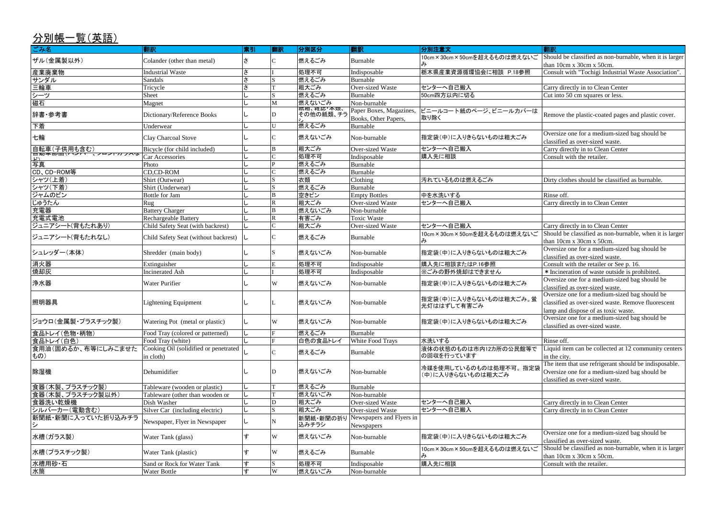Should be classified as non-burnable, when it is larger than 10cm x 30cm x 50cm. Consult with "Tochigi Industrial Waste Association".

Remove the plastic-coated pages and plastic cover.

Oversize one for a medium-sized bag should be classified as over-sized waste.<br>Carry directly in to Clean Center

Dirty clothes should be classified as burnable.

Oversize one for a medium-sized bag should be classified as over-sized waste.

Consult with the retailer or See p. 16.

\* Incineration of waste outside is prohibited.

Oversize one for a medium-sized bag should be classified as over-sized waste.

Oversize one for a medium-sized bag should be classified as over-sized waste.

Should be classified as non-burnable, when it is larger than 10cm x 30cm x 50cm.

Oversize one for a medium-sized bag should be classified as over-sized waste. Should be classified as non-burnable, when it is larger

| 分別帳一覧(英語)                  |                                                    |    |                         |                        |                                                 |                                                        |                                                                                                          |
|----------------------------|----------------------------------------------------|----|-------------------------|------------------------|-------------------------------------------------|--------------------------------------------------------|----------------------------------------------------------------------------------------------------------|
| ごみ名                        | 翻訳                                                 | 索引 | 翻訳                      | 分別区分                   | 翻訳                                              | 分別注意文                                                  | 翻訳                                                                                                       |
| ザル(金属製以外)                  | Colander (other than metal)                        | さ  |                         | 燃えるごみ                  | Burnable                                        | 10cm×30cm×50cmを超えるものは燃えないご                             | Should be classified as non-burn<br>than 10cm x 30cm x 50cm.                                             |
| 産業廃棄物                      | <b>Industrial Waste</b>                            | さ  |                         | 処理不可                   | Indisposable                                    | 栃木県産業資源循環協会に相談 P.18参照                                  | Consult with "Tochigi Industrial                                                                         |
| サンダル                       | Sandals                                            | さ  |                         | 燃えるごみ                  | Burnable                                        |                                                        |                                                                                                          |
| 三輪車                        | Tricycle                                           | さ  |                         | 粗大ごみ                   | <b>Over-sized Waste</b>                         | センターへ自己搬入                                              | Carry directly in to Clean Center                                                                        |
| シーツ                        | Sheet                                              |    | S                       | 燃えるごみ                  | Burnable                                        | 50cm四方以内に切る                                            | Cut into 50 cm squares or less.                                                                          |
| 磁石                         | Magnet                                             |    | M                       | 燃えないごみ                 | Non-burnable                                    |                                                        |                                                                                                          |
| 辞書・参考書                     | Dictionary/Reference Books                         |    | D                       | 紙相、雑誌・本親、<br>その他の紙類、チラ | Paper Boxes, Magazines,<br>Books, Other Papers, | ビニールコート紙のページ、ビニールカバーは<br>取り除く                          | Remove the plastic-coated pages                                                                          |
| 下着                         | Underwear                                          |    | U                       | 燃えるごみ                  | Burnable                                        |                                                        |                                                                                                          |
| 七輪                         | Clay Charcoal Stove                                |    |                         | 燃えないごみ                 | Non-burnable                                    | 指定袋(中)に入りきらないものは粗大ごみ                                   | Oversize one for a medium-sized<br>classified as over-sized waste.                                       |
| 自転車(子供用も含む)                | Bicycle (for child included)                       |    | B                       | 粗大ごみ                   | Over-sized Waste                                | センターへ自己搬入                                              | Carry directly in to Clean Center                                                                        |
|                            | Car Accessories                                    |    |                         | 処理不可                   | Indisposable                                    | 購入先に相談                                                 | Consult with the retailer.                                                                               |
| 写真                         | Photo                                              |    | P                       | 燃えるごみ                  | Burnable                                        |                                                        |                                                                                                          |
| CD、CD-ROM等                 | CD,CD-ROM                                          |    |                         | 燃えるごみ                  | Burnable                                        |                                                        |                                                                                                          |
| シャツ(上着)                    | Shirt (Outwear)                                    |    |                         | 衣類                     | Clothing                                        | 汚れているものは燃えるごみ                                          | Dirty clothes should be classified                                                                       |
| シャツ(下着)                    | Shirt (Underwear)                                  |    | <sub>S</sub>            | 燃えるごみ                  | Burnable                                        |                                                        |                                                                                                          |
| ジャムのビン                     | Bottle for Jam                                     |    | B                       | 空きビン                   | <b>Empty Bottles</b>                            | 中を水洗いする                                                | Rinse off.                                                                                               |
| じゅうたん                      | Rug                                                |    | $\overline{\mathbf{R}}$ | 粗大ごみ                   | <b>Over-sized Waste</b>                         | センターへ自己搬入                                              | Carry directly in to Clean Center                                                                        |
| 充電器                        | <b>Battery Charger</b>                             |    | B                       | 燃えないごみ                 | Non-burnable                                    |                                                        |                                                                                                          |
| 充電式電池                      | <b>Rechargeable Battery</b>                        |    | $\mathbf R$             | 有害ごみ                   | <b>Toxic Waste</b>                              |                                                        |                                                                                                          |
| ジュニアシート(背もたれあり)            | Child Safety Seat (with backrest)                  |    |                         | 粗大ごみ                   | <b>Over-sized Waste</b>                         | センターへ自己搬入                                              | Carry directly in to Clean Center                                                                        |
| ジュニアシート(背もたれなし)            | Child Safety Seat (without backrest)   L           |    |                         | 燃えるごみ                  | Burnable                                        | 10cm×30cm×50cmを超えるものは燃えないご                             | Should be classified as non-burn<br>than 10cm x 30cm x 50cm.                                             |
| シュレッダー(本体)                 | Shredder (main body)                               |    |                         | 燃えないごみ                 | Non-burnable                                    | 指定袋(中)に入りきらないものは粗大ごみ                                   | Oversize one for a medium-sized<br>classified as over-sized waste.                                       |
| 消火器                        | Extinguisher                                       |    | Ε                       | 処理不可                   | Indisposable                                    | 購入先に相談またはP.16参照                                        | Consult with the retailer or See p                                                                       |
| 焼却灰                        | <b>Incinerated Ash</b>                             |    |                         | 処理不可                   | Indisposable                                    | ※ごみの野外焼却はできません                                         | * Incineration of waste outside i                                                                        |
|                            |                                                    |    |                         |                        |                                                 |                                                        | Oversize one for a medium-sized                                                                          |
| 浄水器                        | <b>Water Purifier</b>                              |    | W                       | 燃えないごみ                 | Non-burnable                                    | 指定袋(中)に入りきらないものは粗大ごみ                                   | classified as over-sized waste.                                                                          |
| 照明器具                       | <b>Lightening Equipment</b>                        |    |                         | 燃えないごみ                 | Non-burnable                                    | 指定袋(中)に入りきらないものは粗大ごみ。蛍<br>光灯ははずして有害ごみ                  | Oversize one for a medium-sized<br>classified as over-sized waste. R<br>lamp and dispose of as toxic was |
| ジョウロ(金属製・プラスチック製)          | Watering Pot (metal or plastic)                    |    | W                       | 燃えないごみ                 | Non-burnable                                    | 指定袋(中)に入りきらないものは粗大ごみ                                   | Oversize one for a medium-sized<br>classified as over-sized waste.                                       |
| 食品トレイ(色物・柄物)               | Food Tray (colored or patterned)                   |    |                         | 燃えるごみ                  | Burnable                                        |                                                        |                                                                                                          |
| 食品トレイ(白色)                  | Food Tray (white)                                  |    | F                       | 白色の食品トレイ               | White Food Trays                                | 水洗いする                                                  | Rinse off.                                                                                               |
| 食用油(固めるか、布等にしみこませた<br> もの) | Cooking Oil (solidified or penetrated<br>in cloth) |    |                         | 燃えるごみ                  | Burnable                                        | 液体の状態のものは市内12カ所の公民館等で<br>の回収を行っています                    | Liquid item can be collected at 1<br>in the city.                                                        |
| 除湿機                        | Dehumidifier                                       |    | ID                      | 燃えないごみ                 | Non-burnable                                    | 冷媒を使用しているのものは処理不可。指定袋<br>(中)に入りきらないものは粗大ごみ             | The item that use refrigerant sho<br>Oversize one for a medium-sized<br>classified as over-sized waste.  |
| 食器(木製、プラスチック製)             | Tableware (wooden or plastic)                      |    |                         | 燃えるごみ                  | Burnable                                        |                                                        |                                                                                                          |
| 食器(木製、プラスチック製以外)           | Tableware (other than wooden or                    |    |                         | 燃えないごみ                 | Non-burnable                                    |                                                        |                                                                                                          |
| 食器洗い乾燥機                    | Dish Washer                                        |    | D                       | 粗大ごみ                   | Over-sized Waste                                | センターへ自己搬入                                              | Carry directly in to Clean Center                                                                        |
| シルバーカー(電動含む)               | Silver Car (including electric)                    |    | S                       | 粗大ごみ                   | Over-sized Waste                                | センターへ自己搬入                                              | Carry directly in to Clean Center                                                                        |
| 新聞紙・新聞に入っていた折り込みチラ         | Newspaper, Flyer in Newspaper                      |    | N                       | 新聞紙・新聞の折り<br>込みチラシ     | Newspapers and Flyers in<br>Newspapers          |                                                        |                                                                                                          |
| 水槽(ガラス製)                   | Water Tank (glass)                                 | ォ  | W                       | 燃えないごみ                 | Non-burnable                                    | 指定袋(中)に入りきらないものは粗大ごみ                                   | Oversize one for a medium-sized<br>classified as over-sized waste.                                       |
| 水槽(プラスチック製)                | Water Tank (plastic)                               |    | W                       | 燃えるごみ                  | Burnable                                        | 10cm×30cm×50cmを超えるものは燃えないご<br>$\partial_{\mathcal{F}}$ | Should be classified as non-burn<br>than 10cm x 30cm x 50cm.                                             |
| 水槽用砂·石                     | Sand or Rock for Water Tank                        |    |                         | 処理不可                   | Indisposable                                    | 購入先に相談                                                 | Consult with the retailer.                                                                               |
| 水筒                         | Water Bottle                                       | す  | W                       | 燃えないごみ                 | Non-burnable                                    |                                                        |                                                                                                          |

Oversize one for a medium-sized bag should be classified as over-sized waste. Remove fluorescent

lamp and dispose of as toxic waste.

Liquid item can be collected at 12 community centers in the city.

The item that use refrigerant should be indisposable. Oversize one for a medium-sized bag should be classified as over-sized waste.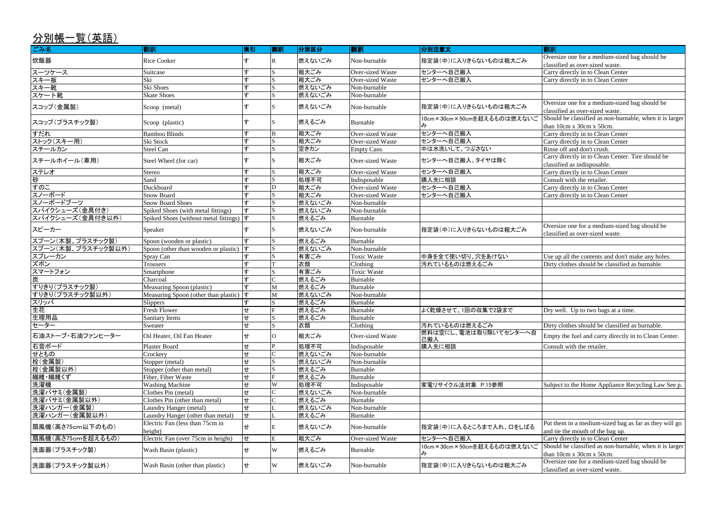Oversize one for a medium-sized bag should be classified as over-sized waste.

Oversize one for a medium-sized bag should be classified as over-sized waste.

Should be classified as non-burnable, when it is larger than 10cm x 30cm x 50cm.

Carry directly in to Clean Center. Tire should be

Oversize one for a medium-sized bag should be classified as over-sized waste.

Use up all the contents and don't make any holes. Dirty clothes should be classified as burnable.

Dry well. Up to two bags at a time.

Dirty clothes should be classified as burnable.

Empty the fuel and carry directly in to Clean Center.

Subject to the Home Appliance Recycling Law See p.

Put them in a medium-sized bag as far as they will go and tie the mouth of the bag up.

Should be classified as non-burnable, when it is larger than 10cm x 30cm x 50cm.

| $227118 - 76128147$<br>ごみ名 | 翻訳                                                                        | 索引  | 翻訳           | │分別区分  | 翻訳                      | 分別注意文                        | 翻訳                                                                 |
|----------------------------|---------------------------------------------------------------------------|-----|--------------|--------|-------------------------|------------------------------|--------------------------------------------------------------------|
|                            |                                                                           |     |              |        |                         |                              | Oversize one for a medium-sized                                    |
| 炊飯器                        | <b>Rice Cooker</b>                                                        | す   |              | 燃えないごみ | Non-burnable            | 指定袋(中)に入りきらないものは粗大ごみ         | classified as over-sized waste.                                    |
| スーツケース                     | Suitcase                                                                  | す   | S.           | 粗大ごみ   | <b>Over-sized Waste</b> | センターへ自己搬入                    | Carry directly in to Clean Center                                  |
| スキー板                       | Ski                                                                       | す   |              | 粗大ごみ   | <b>Over-sized Waste</b> | センターへ自己搬入                    | Carry directly in to Clean Center                                  |
| スキー靴                       | Ski Shoes                                                                 | す   |              | 燃えないごみ | Non-burnable            |                              |                                                                    |
| スケート靴                      | <b>Skate Shoes</b>                                                        | す   |              | 燃えないごみ | Non-burnable            |                              |                                                                    |
| スコップ(金属製)                  | Scoop (metal)                                                             | す   |              | 燃えないごみ | Non-burnable            | 指定袋(中)に入りきらないものは粗大ごみ         | Oversize one for a medium-sized<br>classified as over-sized waste. |
| スコップ(プラスチック製)              | Scoop (plastic)                                                           | す   | S.           | 燃えるごみ  | Burnable                | 10cm×30cm×50cmを超えるものは燃えないご   | Should be classified as non-burn<br>than 10cm x 30cm x 50cm.       |
| すだれ                        | <b>Bamboo Blinds</b>                                                      | す   | B            | 粗大ごみ   | <b>Over-sized Waste</b> | センターへ自己搬入                    | Carry directly in to Clean Center                                  |
| ストック(スキー用)                 | Ski Stock                                                                 | す   | S            | 粗大ごみ   | Over-sized Waste        | センターへ自己搬入                    | Carry directly in to Clean Center                                  |
| スチールカン                     | <b>Steel Can</b>                                                          | す   | $\mathbf{S}$ | 空きカン   | <b>Empty Cans</b>       | 中は水洗いして、つぶさない                | Rinse off and don't crush.                                         |
| スチールホイール(車用)               | Steel Wheel (for car)                                                     | ォ   |              | 粗大ごみ   | Over-sized Waste        | センターへ自己搬入。タイヤは除く             | Carry directly in to Clean Center<br>classified as indisposable.   |
| ステレオ                       | Stereo                                                                    | す   | S.           | 粗大ごみ   | Over-sized Waste        | センターへ自己搬入                    | Carry directly in to Clean Center                                  |
| 砂                          | Sand                                                                      | す   | S            | 処理不可   | Indisposable            | 購入先に相談                       | Consult with the retailer.                                         |
| すのこ                        | Duckboard                                                                 | ォ   | D            | 粗大ごみ   | <b>Over-sized Waste</b> | センターへ自己搬入                    | Carry directly in to Clean Center                                  |
| スノーボード                     | <b>Snow Board</b>                                                         | ォ   |              | 粗大ごみ   | <b>Over-sized Waste</b> | センターへ自己搬入                    | Carry directly in to Clean Center                                  |
| スノーボードブーツ                  | <b>Snow Board Shoes</b>                                                   | す   |              | 燃えないごみ | Non-burnable            |                              |                                                                    |
| スパイクシューズ(金具付き)             | Spiked Shoes (with metal fittings)                                        | す   |              | 燃えないごみ | Non-burnable            |                              |                                                                    |
| スパイクシューズ(金具付き以外)           | Spiked Shoes (without metal fittings) $\vert \overline{\mathbf{t}} \vert$ |     |              | 燃えるごみ  | Burnable                |                              |                                                                    |
| スピーカー                      | Speaker                                                                   | ォ   |              | 燃えないごみ | Non-burnable            | 指定袋(中)に入りきらないものは粗大ごみ         | Oversize one for a medium-sized<br>classified as over-sized waste. |
| スプーン(木製、プラスチック製)           | Spoon (wooden or plastic)                                                 |     |              | 燃えるごみ  | Burnable                |                              |                                                                    |
| スプーン(木製、プラスチック製以外)         | Spoon (other than wooden or plastic)                                      | す   | S            | 燃えないごみ | Non-burnable            |                              |                                                                    |
| スプレーカン                     | Spray Can                                                                 |     |              | 有害ごみ   | <b>Toxic Waste</b>      | 中身を全て使い切り、穴をあけない             | Use up all the contents and don't                                  |
| ズボン                        | <b>Trousers</b>                                                           | す   |              | 衣類     | Clothing                | 汚れているものは燃えるごみ                | Dirty clothes should be classified                                 |
| スマートフォン                    | Smartphone                                                                |     |              | 有害ごみ   | <b>Toxic Waste</b>      |                              |                                                                    |
| 炭                          | Charcoal                                                                  | す   |              | 燃えるごみ  | Burnable                |                              |                                                                    |
| すりきり(プラスチック製)              | Measuring Spoon (plastic)                                                 |     | M            | 燃えるごみ  | Burnable                |                              |                                                                    |
| すりきり(プラスチック製以外)            | Measuring Spoon (other than plastic) $ \vec{t} $                          |     | M            | 燃えないごみ | Non-burnable            |                              |                                                                    |
| スリッパ                       | <b>Slippers</b>                                                           |     | S            | 燃えるごみ  | <b>Burnable</b>         |                              |                                                                    |
| 生花                         | Fresh Flower                                                              | $+$ | F            | 燃えるごみ  | Burnable                | よく乾燥させて、1回の収集で2袋まで           | Dry well. Up to two bags at a tin                                  |
| 生理用品                       | <b>Sanitary Items</b>                                                     | せ   | S            | 燃えるごみ  | Burnable                |                              |                                                                    |
| セーター                       | Sweater                                                                   | せ   | S.           | 衣類     | Clothing                | 汚れているものは燃えるごみ                | Dirty clothes should be classified                                 |
| 日油ストーブ・石油ファンヒーター           | Oil Heater, Oil Fan Heater                                                | せ   |              | 粗大ごみ   | Over-sized Waste        | 燃料は空にし、電池は取り除いてセンターへ自<br>己搬入 | Empty the fuel and carry directly                                  |
| 石膏ボード                      | <b>Plaster Board</b>                                                      | せ   |              | 処理不可   | Indisposable            | 購入先に相談                       | Consult with the retailer.                                         |
| せともの                       | Crockery                                                                  | せ   |              | 燃えないごみ | Non-burnable            |                              |                                                                    |
| 栓(金属製)                     | Stopper (metal)                                                           | せ   |              | 燃えないごみ | Non-burnable            |                              |                                                                    |
| 栓(金属製以外)                   | Stopper (other than metal)                                                | せ   |              | 燃えるごみ  | Burnable                |                              |                                                                    |
| 繊維・繊維くず                    | Fiber, Fiber Waste                                                        | せ   |              | 燃えるごみ  | Burnable                |                              |                                                                    |
| 洗濯機                        | <b>Washing Machine</b>                                                    | せ   | W            | 処理不可   | Indisposable            | 家電リサイクル法対象 P.15参照            | Subject to the Home Appliance I                                    |
| 洗濯バサミ(金属製)                 | Clothes Pin (metal)                                                       | せ   |              | 燃えないごみ | Non-burnable            |                              |                                                                    |
| 洗濯バサミ(金属製以外)               | Clothes Pin (other than metal)                                            | せ   |              | 燃えるごみ  | Burnable                |                              |                                                                    |
| 洗濯ハンガー(金属製)                | Laundry Hanger (metal)                                                    | せ   |              | 燃えないごみ | Non-burnable            |                              |                                                                    |
| 洗濯ハンガー(金属製以外)              | Laundry Hanger (other than metal)                                         | せ   |              | 燃えるごみ  | Burnable                |                              |                                                                    |
| 扇風機(高さ75cm以下のもの)           | Electric Fan (less than 75cm in<br>height)                                | せ   |              | 燃えないごみ | Non-burnable            | 指定袋(中)に入るところまで入れ、口をしばる       | Put them in a medium-sized bag<br>and tie the mouth of the bag up. |
| 扇風機(高さ75cmを超えるもの)          | Electric Fan (over 75cm in height)                                        | せ   | $E_{\rm}$    | 粗大ごみ   | <b>Over-sized Waste</b> | センターへ自己搬入                    | Carry directly in to Clean Center                                  |
| 洗面器(プラスチック製)               | Wash Basin (plastic)                                                      | せ   | W            | 燃えるごみ  | Burnable                | 10cm×30cm×50cmを超えるものは燃えないご   | Should be classified as non-burn<br>than 10cm x 30cm x 50cm.       |
| 洗面器(プラスチック製以外)             | Wash Basin (other than plastic)                                           | せ   | W            | 燃えないごみ | Non-burnable            | 指定袋(中)に入りきらないものは粗大ごみ         | Oversize one for a medium-sized<br>classified as over-sized waste. |

Oversize one for a medium-sized bag should be classified as over-sized waste.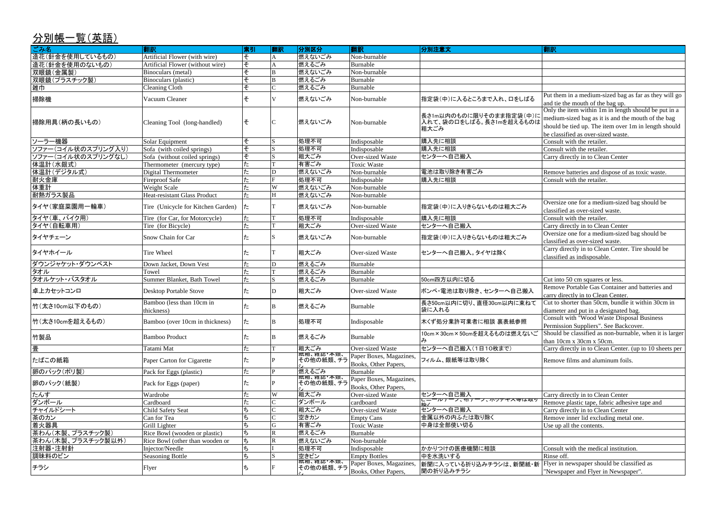Put them in a medium-sized bag as far as they will go and tie the mouth of the bag up.

Only the item within 1m in length should be put in a medium-sized bag as it is and the mouth of the bag should be tied up. The item over 1m in length should be classified as over-sized waste.

Carry directly in to Clean Center

Remove batteries and dispose of as toxic waste. Consult with the retailer.

Oversize one for a medium-sized bag should be classified as over-sized waste.

Consult with the retailer.

Carry directly in to Clean Center Oversize one for a medium-sized bag should be classified as over-sized waste.

Carry directly in to Clean Center. Tire should be classified as indisposable.

Cut into 50 cm squares or less. Remove Portable Gas Container and batteries and carry directly in to Clean Center. Cut to shorter than 50cm, bundle it within 30cm in diameter and put in a designated bag. Consult with "Wood Waste Disposal Business" Permission Suppliers". See Backcover. Should be classified as non-burnable, when it is larger than 10cm x 30cm x 50cm. Carry directly in to Clean Center. (up to 10 sheets per

Remove films and aluminum foils.

Carry directly in to Clean Center Remove plastic tape, fabric adhesive tape and Carry directly in to Clean Center Remove inner lid excluding metal one.

Consult with the medical institution.

| ごみ名                | 翻訳                                      | 索引                       | 翻訳            | 分別区分                         | 翻訳                                              | 分別注意文                                                      | 翻訳                                                                                                             |
|--------------------|-----------------------------------------|--------------------------|---------------|------------------------------|-------------------------------------------------|------------------------------------------------------------|----------------------------------------------------------------------------------------------------------------|
| 造花(針金を使用しているもの)    | Artificial Flower (with wire)           | そ                        |               | 燃えないごみ                       | Non-burnable                                    |                                                            |                                                                                                                |
| 造花(針金を使用のないもの)     | Artificial Flower (without wire)        | そ                        | А             | 燃えるごみ                        | Burnable                                        |                                                            |                                                                                                                |
| 双眼鏡(金属製)           | Binoculars (metal)                      | $\overline{\mathcal{X}}$ | B             | 燃えないごみ                       | Non-burnable                                    |                                                            |                                                                                                                |
| 双眼鏡(プラスチック製)       | Binoculars (plastic)                    | $\overline{\mathcal{X}}$ | B             | 燃えるごみ                        | Burnable                                        |                                                            |                                                                                                                |
| 雑巾                 | <b>Cleaning Cloth</b>                   | $\overline{\mathcal{X}}$ | $\mathcal{C}$ | 燃えるごみ                        | Burnable                                        |                                                            |                                                                                                                |
| 掃除機                | Vacuum Cleaner                          | そ                        | V             | 燃えないごみ                       | Non-burnable                                    | 指定袋(中)に入るところまで入れ、口をしばる                                     | Put them in a medium-si<br>and tie the mouth of the                                                            |
| 掃除用具(柄の長いもの)       | Cleaning Tool (long-handled)            | そ                        | C             | 燃えないごみ                       | Non-burnable                                    | 長さ1m以内のものに限りそのまま指定袋(中)に<br>入れて、袋の口をしばる。長さ1mを超えるものは<br>粗大ごみ | Only the item within 1m<br>medium-sized bag as it i<br>should be tied up. The it<br>be classified as over-size |
| ソーラー機器             | Solar Equipment                         | そ                        | S             | 処理不可                         | Indisposable                                    | 購入先に相談                                                     | $\overline{\text{Const}}$ with the retailer.                                                                   |
| ソファー(コイル状のスプリング入り) | Sofa (with coiled springs)              | $\overline{\epsilon}$    |               | 処理不可                         | Indisposable                                    | 購入先に相談                                                     | Consult with the retailer.                                                                                     |
| ソファー(コイル状のスプリングなし) | Sofa (without coiled springs)           | そ                        |               | 粗大ごみ                         | Over-sized Waste                                | センターへ自己搬入                                                  | Carry directly in to Clear                                                                                     |
| 体温計(水銀式)           | Thermometer (mercury type)              | $t_{\overline{z}}$       |               | 有害ごみ                         | <b>Toxic Waste</b>                              |                                                            |                                                                                                                |
| 体温計(デジタル式)         | <b>Digital Thermometer</b>              | $\overline{t}$           | D             | 燃えないごみ                       | Non-burnable                                    | 電池は取り除き有害ごみ                                                | Remove batteries and dis                                                                                       |
| 耐火金庫               | <b>Fireproof Safe</b>                   | t-                       |               | 処理不可                         | Indisposable                                    | 購入先に相談                                                     | Consult with the retailer.                                                                                     |
| 体重計                | <b>Weight Scale</b>                     | た                        | W             | 燃えないごみ                       | Non-burnable                                    |                                                            |                                                                                                                |
| 耐熱ガラス製品            | Heat-resistant Glass Product            | $t_{\mathbb{Z}}$         | H             | 燃えないごみ                       | Non-burnable                                    |                                                            |                                                                                                                |
| タイヤ(家庭菜園用一輪車)      | Tire (Unicycle for Kitchen Garden)      | $\mathcal{L}$            |               | 燃えないごみ                       | Non-burnable                                    | 指定袋(中)に入りきらないものは粗大ごみ                                       | Oversize one for a mediu<br>classified as over-sized v                                                         |
| タイヤ(車、バイク用)        | Tire (for Car, for Motorcycle)          | た                        |               | 処理不可                         | Indisposable                                    | 購入先に相談                                                     | Consult with the retailer.                                                                                     |
| タイヤ(自転車用)          | Tire (for Bicycle)                      | $\overline{t}$           |               | 粗大ごみ                         | Over-sized Waste                                | センターへ自己搬入                                                  | Carry directly in to Clear                                                                                     |
| タイヤチェーン            | Snow Chain for Car                      | た                        |               | 燃えないごみ                       | Non-burnable                                    | 指定袋(中)に入りきらないものは粗大ごみ                                       | Oversize one for a mediu<br>classified as over-sized v                                                         |
| タイヤホイール            | Tire Wheel                              | た                        |               | 粗大ごみ                         | Over-sized Waste                                | センターへ自己搬入。タイヤは除く                                           | Carry directly in to Clear<br>classified as indisposable                                                       |
| ダウンジャケット・ダウンベスト    | Down Jacket, Down Vest                  | Ι÷                       | D             | 燃えるごみ                        | Burnable                                        |                                                            |                                                                                                                |
| タオル                | Towel                                   | ΙΞ                       |               | 燃えるごみ                        | Burnable                                        |                                                            |                                                                                                                |
| タオルケット・バスタオル       | Summer Blanket, Bath Towel              | $\overline{t}$           | S             | 燃えるごみ                        | Burnable                                        | 50cm四方以内に切る                                                | Cut into 50 cm squares o                                                                                       |
| 卓上カセットコンロ          | Desktop Portable Stove                  | た                        | D             | 粗大ごみ                         | Over-sized Waste                                | ポンベ・電池は取り除き、センターへ自己搬入                                      | Remove Portable Gas Co<br>carry directly in to Clean                                                           |
| 竹(太さ10cm以下のもの)     | Bamboo (less than 10cm in<br>thickness) | Ιc                       | B             | 燃えるごみ                        | Burnable                                        | 長さ50cm以内に切り、直径30cm以内に束ねて<br>袋に入れる                          | Cut to shorter than 50cm<br>diameter and put in a des                                                          |
| 竹(太さ10cmを超えるもの)    | Bamboo (over 10cm in thickness)         | $t_{-}$                  | B             | 処理不可                         | Indisposable                                    | 木くず処分業許可業者に相談 裏表紙参照                                        | Consult with "Wood Wa<br>Permission Suppliers". S                                                              |
| 竹製品                | <b>Bamboo Product</b>                   | た                        | ΙB            | 燃えるごみ                        | Burnable                                        | 10cm×30cm×50cmを超えるものは燃えないご                                 | Should be classified as n<br>than 10cm x 30cm x 50c                                                            |
| 壨                  | Tatami Mat                              | た                        |               | 粗大ごみ                         | Over-sized Waste                                | センターへ自己搬入(1日10枚まで)                                         | Carry directly in to Clear                                                                                     |
| たばこの紙箱             | Paper Carton for Cigarette              | tΞ                       |               | <br> 紙相、雑誌 本親、<br> その他の紙類、チラ | Paper Boxes, Magazines,<br>Books, Other Papers, | フィルム、銀紙等は取り除く                                              | Remove films and alumi                                                                                         |
| 卵のパック(ポリ製)         | Pack for Eggs (plastic)                 | Ι÷                       |               | 燃えるごみ                        | Burnable                                        |                                                            |                                                                                                                |
| 卵のパック(紙製)          | Pack for Eggs (paper)                   | ľΞ                       |               | その他の紙類、チラ                    | Paper Boxes, Magazines,<br>Books, Other Papers, |                                                            |                                                                                                                |
| たんす                | Wardrobe                                | Ι÷                       | W             | 粗大ごみ                         | Over-sized Waste                                | センターへ自己搬入                                                  | Carry directly in to Clear                                                                                     |
| ダンボール              | Cardboard                               | ΙΞ                       |               | ダンボール                        | cardboard                                       | -一一ルノーノ、加ノーノ、小ツナイヘ寺は取り                                     | Remove plastic tape, fab                                                                                       |
| チャイルドシート           | Child Safety Seat                       | ち                        |               | 粗大ごみ                         | Over-sized Waste                                | センターへ自己搬入                                                  | Carry directly in to Clear                                                                                     |
| 茶のカン               | Can for Tea                             | ち                        |               | 空きカン                         | <b>Empty Cans</b>                               | 金属以外の内ふたは取り除く                                              | Remove inner lid exclud                                                                                        |
| 着火器具               | Grill Lighter                           | ち                        | G             | 有害ごみ                         | <b>Toxic Waste</b>                              | 中身は全部使い切る                                                  | Use up all the contents.                                                                                       |
| 茶わん(木製、プラスチック製)    | Rice Bowl (wooden or plastic)           | ち                        |               | 燃えるごみ                        | Burnable                                        |                                                            |                                                                                                                |
| 茶わん(木製、プラスチック製以外)  | Rice Bowl (other than wooden or         | ち                        | R             | 燃えないごみ                       | Non-burnable                                    |                                                            |                                                                                                                |
| 注射器·注射針            | Injector/Needle                         | ち                        |               | 処理不可                         | Indisposable                                    | かかりつけの医療機関に相談                                              | Consult with the medical                                                                                       |
| 調味料のビン             | <b>Seasoning Bottle</b>                 | ち                        |               | 空きビン                         | <b>Empty Bottles</b>                            | 中を水洗いする                                                    | Rinse off.                                                                                                     |
|                    |                                         |                          |               | <b>微相、</b> 稚誌"本親、            | Paper Boxes, Magazines,                         | 新聞に入っている折り込みチラシは、新聞紙・新                                     | Flyer in newspaper shou                                                                                        |
| チラシ                | Flyer                                   | ち                        |               | その他の紙類、チラ                    | Books, Other Papers,                            | 間の折り込みチラシ                                                  | "Newspaper and Flyer in                                                                                        |

Flyer in newspaper should be classified as "Newspaper and Flyer in Newspaper".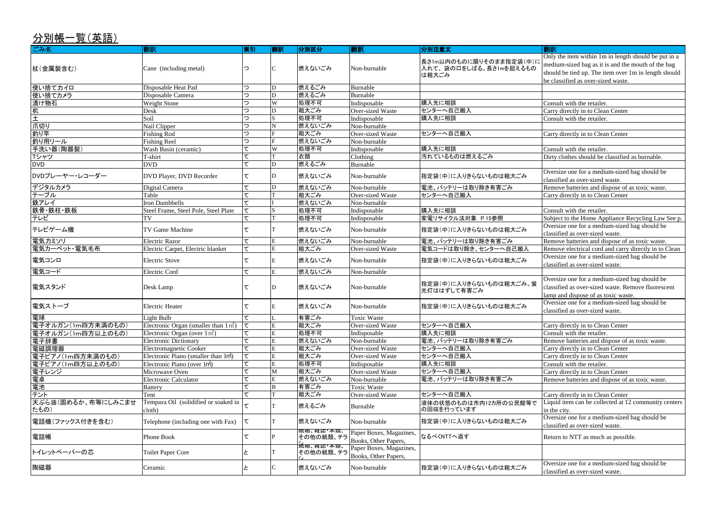Only the item within 1m in length should be put in a medium-sized bag as it is and the mouth of the bag should be tied up. The item over 1m in length should be classified as over-sized waste.

Carry directly in to Clean Center Consult with the retailer.

Carry directly in to Clean Center

Dirty clothes should be classified as burnable.

Oversize one for a medium-sized bag should be classified as over-sized waste. Remove batteries and dispose of as toxic waste. Carry directly in to Clean Center

Subject to the Home Appliance Recycling Law See p. Oversize one for a medium-sized bag should be

Remove electrical cord and carry directly in to Clean Oversize one for a medium-sized bag should be classified as over-sized waste.

Oversize one for a medium-sized bag should be classified as over-sized waste. Remove fluorescent lamp and dispose of as toxic waste. Oversize one for a medium-sized bag should be

classified as over-sized waste.

Remove batteries and dispose of as toxic waste.

Carry directly in to Clean Center Liquid item can be collected at 12 community centers in the city.

Oversize one for a medium-sized bag should be classified as over-sized waste.

Return to NTT as much as possible.

| $21711K$ $7L$ $\sqrt{111}$ |                                                  |                   |    |              |                         |                                 |                            |
|----------------------------|--------------------------------------------------|-------------------|----|--------------|-------------------------|---------------------------------|----------------------------|
| ごみ名                        | 翻訳                                               | 索引                | 翻訳 | <b> 分別区分</b> | 翻訳                      | 分別注意文                           | 翻訳                         |
|                            |                                                  |                   |    |              |                         |                                 | Only the item within 1m    |
|                            |                                                  |                   |    |              |                         | 長さ1m以内のものに限りそのまま指定袋(中)に         | medium-sized bag as it i   |
| 杖(金属製含む)                   | Cane (including metal)                           | っ                 |    | 燃えないごみ       | Non-burnable            | 入れて、袋の口をしばる。長さ1mを超えるもの<br>は粗大ごみ | should be tied up. The it  |
|                            |                                                  |                   |    |              |                         |                                 | be classified as over-size |
| 使い捨てカイロ                    | Disposable Heat Pad                              | っ                 | D  | 燃えるごみ        | Burnable                |                                 |                            |
| 使い捨てカメラ                    | Disposable Camera                                | っ                 | D  | 燃えるごみ        | <b>Burnable</b>         |                                 |                            |
| 漬け物石                       | Weight Stone                                     | っ                 | W  | 処理不可         | Indisposable            | 購入先に相談                          | Consult with the retailer. |
| <u>机<br/>土<br/>爪切り</u>     | Desk                                             | っ                 | D  | 粗大ごみ         | Over-sized Waste        | センターへ自己搬入                       | Carry directly in to Clear |
|                            | Soil                                             | っ                 |    | 処理不可         | Indisposable            | 購入先に相談                          | Consult with the retailer. |
|                            | Nail Clipper                                     | っ                 |    | 燃えないごみ       | Non-burnable            |                                 |                            |
| 釣り竿                        | <b>Fishing Rod</b>                               | っ                 |    | 粗大ごみ         | Over-sized Waste        | センターへ自己搬入                       | Carry directly in to Clear |
| 釣り用リール                     | <b>Fishing Reel</b>                              | っ                 |    | 燃えないごみ       | Non-burnable            |                                 |                            |
| 手洗い器(陶器製)                  | Wash Basin (ceramic)                             |                   | W  | 処理不可         | Indisposable            | 購入先に相談                          | Consult with the retailer. |
| Tシャツ                       | T-shirt                                          | て                 |    | 衣類           | Clothing                | 汚れているものは燃えるごみ                   | Dirty clothes should be o  |
| <b>DVD</b>                 | <b>DVD</b>                                       | て                 | D  | 燃えるごみ        | <b>Burnable</b>         |                                 |                            |
|                            |                                                  |                   |    |              |                         |                                 | Oversize one for a mediu   |
| DVDプレーヤー・レコーダー             | DVD Player, DVD Recorder                         | て                 | D  | 燃えないごみ       | Non-burnable            | 指定袋(中)に入りきらないものは粗大ごみ            | classified as over-sized v |
| デジタルカメラ                    | Digital Camera                                   | て                 | D  | 燃えないごみ       | Non-burnable            | 電池、バッテリーは取り除き有害ごみ               | Remove batteries and dis   |
| テーブル                       | Table                                            | て                 |    | 粗大ごみ         | Over-sized Waste        | センターへ自己搬入                       | Carry directly in to Clear |
| 鉄アレイ                       | Iron Dumbbells                                   | て                 |    | 燃えないごみ       | Non-burnable            |                                 |                            |
| 鉄骨·鉄柱·鉄板                   | Steel Frame, Steel Pole, Steel Plate             | て                 |    | 処理不可         | Indisposable            | 購入先に相談                          | Consult with the retailer. |
| テレビ                        | ΓV                                               | $\overline{\tau}$ |    | 処理不可         | Indisposable            | 家電リサイクル法対象 P.15参照               | Subject to the Home App    |
|                            |                                                  |                   |    |              |                         |                                 | Oversize one for a mediu   |
| テレビゲーム機                    | TV Game Machine                                  | て                 |    | 燃えないごみ       | Non-burnable            | 指定袋(中)に入りきらないものは粗大ごみ            | classified as over-sized v |
| 電気カミソリ                     | <b>Electric Razor</b>                            | て                 | E  | 燃えないごみ       | Non-burnable            | 電池、バッテリーは取り除き有害ごみ               | Remove batteries and dis   |
| 電気カーペット・電気毛布               | Electric Carpet, Electric blanket                | て                 | E  | 粗大ごみ         | Over-sized Waste        | 電気コードは取り除き、センターへ自己搬入            | Remove electrical cord a   |
|                            |                                                  |                   |    |              |                         |                                 | Oversize one for a mediu   |
| 電気コンロ                      | <b>Electric Stove</b>                            | て                 |    | 燃えないごみ       | Non-burnable            | 指定袋(中)に入りきらないものは粗大ごみ            | classified as over-sized v |
| 電気コード                      | Electric Cord                                    | て                 |    | 燃えないごみ       | Non-burnable            |                                 |                            |
|                            |                                                  |                   |    |              |                         |                                 | Oversize one for a mediu   |
| 電気スタンド                     | Desk Lamp                                        | て                 |    | 燃えないごみ       | Non-burnable            | 指定袋(中)に入りきらないものは粗大ごみ。蛍          | classified as over-sized v |
|                            |                                                  |                   |    |              |                         | 光灯ははずして有害ごみ                     | lamp and dispose of as to  |
|                            |                                                  |                   |    |              |                         |                                 | Oversize one for a mediu   |
| 電気ストーブ                     | <b>Electric Heater</b>                           | て                 |    | 燃えないごみ       | Non-burnable            | 指定袋(中)に入りきらないものは粗大ごみ            | classified as over-sized v |
| 電球                         | Light Bulb                                       | て                 |    | 有害ごみ         | <b>Toxic Waste</b>      |                                 |                            |
| 電子オルガン(1m四方未満のもの)          | Electronic Organ (smaller than $1 \text{ m}^2$ ) | て                 |    | 粗大ごみ         | Over-sized Waste        | センターへ自己搬入                       | Carry directly in to Clear |
| 電子オルガン(1m四方以上のもの)          | Electronic Organ (over $1 \text{ m}^2$ )         |                   |    | 処理不可         | Indisposable            | 購入先に相談                          | Consult with the retailer. |
| 電子辞書                       | <b>Electronic Dictionary</b>                     |                   |    | 燃えないごみ       | Non-burnable            | 電池、バッテリーは取り除き有害ごみ               | Remove batteries and dis   |
| 電磁調理器                      | Electromagnetic Cooker                           |                   |    | 粗大ごみ         | Over-sized Waste        | センターへ自己搬入                       | Carry directly in to Clear |
| 電子ピアノ(1m四方未満のもの)           | Electronic Piano (smaller than 1m <sup>2</sup> ) |                   |    | 粗大ごみ         | Over-sized Waste        | センターへ自己搬入                       | Carry directly in to Clear |
| 電子ピアノ(1m四方以上のもの)           | Electronic Piano (over 1m <sup>2</sup> )         |                   | Е  | 処理不可         | Indisposable            | 購入先に相談                          | Consult with the retailer. |
| 電子レンジ                      | Microwave Oven                                   |                   | M  | 粗大ごみ         | Over-sized Waste        | センターへ自己搬入                       | Carry directly in to Clear |
| 電卓                         | <b>Electronic Calculator</b>                     | τ                 |    | 燃えないごみ       | Non-burnable            | 電池、バッテリーは取り除き有害ごみ               | Remove batteries and dis   |
| 電池                         | <b>Battery</b>                                   |                   |    | 有害ごみ         | <b>Toxic Waste</b>      |                                 |                            |
| テント                        | Tent                                             | τ                 |    | 粗大ごみ         | Over-sized Waste        | センターへ自己搬入                       | Carry directly in to Clear |
| 天ぷら油(固めるか、布等にしみこませ         | Tempura Oil (solidified or soaked in             |                   |    |              |                         | 液体の状態のものは市内12カ所の公民館等で           | Liquid item can be colled  |
| たもの)                       | cloth)                                           |                   |    | 燃えるごみ        | Burnable                | の回収を行っています                      | in the city.               |
|                            |                                                  |                   |    |              |                         |                                 | Oversize one for a mediu   |
| 電話機(ファックス付きを含む)            | Telephone (including one with Fax)               | て                 |    | 燃えないごみ       | Non-burnable            | 指定袋(中)に入りきらないものは粗大ごみ            | classified as over-sized v |
|                            |                                                  |                   |    |              | Paper Boxes, Magazines, |                                 |                            |
| 電話帳                        | Phone Book                                       | て                 |    | その他の紙類、チラ    | Books, Other Papers,    | なるべくNTTへ返す                      | Return to NTT as much a    |
|                            |                                                  |                   |    |              | Paper Boxes, Magazines, |                                 |                            |
| トイレットペーパーの芯                | <b>Toilet Paper Core</b>                         |                   |    | その他の紙類、チラ    | Books, Other Papers,    |                                 |                            |
|                            |                                                  |                   |    |              |                         |                                 | Oversize one for a mediu   |
| 陶磁器                        | Ceramic                                          |                   |    | 燃えないごみ       | Non-burnable            | 指定袋(中)に入りきらないものは粗大ごみ            | classified as over-sized v |

Oversize one for a medium-sized bag should be classified as over-sized waste.

classified as over-sized waste.

Carry directly in to Clean Center

Remove batteries and dispose of as toxic waste.

Carry directly in to Clean Center

Carry directly in to Clean Center

Carry directly in to Clean Center

Remove batteries and dispose of as toxic waste.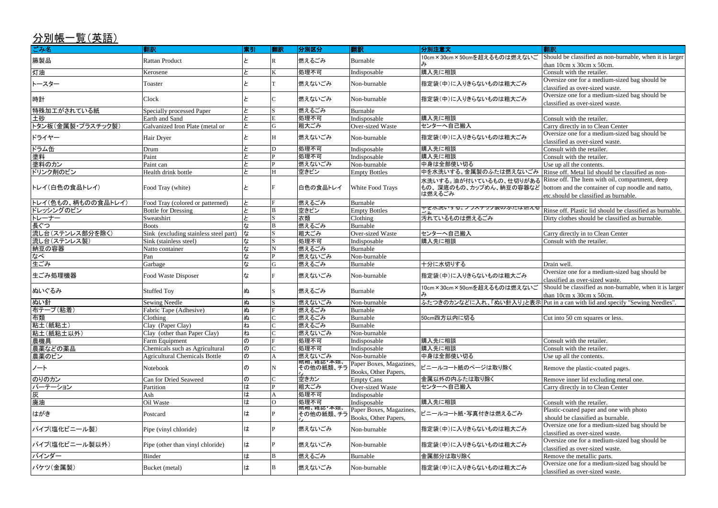Should be classified as non-burnable, when it is larger than 10cm x 30cm x 50cm.

Oversize one for a medium-sized bag should be

Oversize one for a medium-sized bag should be classified as over-sized waste.

Carry directly in to Clean Center

Oversize one for a medium-sized bag should be

classified as over-sized waste.

classified as over-sized waste. Consult with the retailer.

Rinse off. Metal lid should be classified as non-

Oversize one for a medium-sized bag should be classified as over-sized waste.

Rinse off. The Item with oil, compartment, deep bottom and the container of cup noodle and natto,

etc.should be classified as burnable.

Rinse off. Plastic lid should be classified as burnable. Dirty clothes should be classified as burnable.

Carry directly in to Clean Center<br>Consult with the retailer.

| ごみ名                | 翻訳                                    | 索引                  | 翻訳 | 分別区分                    | 翻訳                      | 分別注意文                                             | 翻訳                         |
|--------------------|---------------------------------------|---------------------|----|-------------------------|-------------------------|---------------------------------------------------|----------------------------|
| 籐製品                | <b>Rattan Product</b>                 |                     |    | 燃えるごみ                   | Burnable                | 10cm×30cm×50cmを超えるものは燃えないご                        | Should be classified as n  |
|                    |                                       |                     |    |                         |                         |                                                   | than $10cm x 30cm x 50c$   |
| 灯油                 | Kerosene                              | ط                   |    | 処理不可                    | Indisposable            | 購入先に相談                                            | Consult with the retailer. |
| トースター              | Toaster                               |                     |    | 燃えないごみ                  | Non-burnable            | 指定袋(中)に入りきらないものは粗大ごみ                              | Oversize one for a mediu   |
|                    |                                       |                     |    |                         |                         |                                                   | classified as over-sized v |
| 時計                 | Clock                                 |                     |    | 燃えないごみ                  | Non-burnable            | 指定袋(中)に入りきらないものは粗大ごみ                              | Oversize one for a mediu   |
|                    |                                       |                     |    |                         |                         |                                                   | classified as over-sized v |
| 特殊加工がされている紙        | Specially processed Paper             |                     |    | 燃えるごみ                   | Burnable                |                                                   |                            |
| 土砂                 | Earth and Sand                        |                     |    | 処理不可                    | Indisposable            | 購入先に相談                                            | Consult with the retailer. |
| トタン板(金属製・プラスチック製)  | Galvanized Iron Plate (metal or       | ط                   |    | 粗大ごみ                    | Over-sized Waste        | センターへ自己搬入                                         | Carry directly in to Clear |
| ドライヤー              | Hair Dryer                            |                     |    | 燃えないごみ                  | Non-burnable            | 指定袋(中)に入りきらないものは粗大ごみ                              | Oversize one for a mediu   |
|                    |                                       |                     |    |                         |                         |                                                   | classified as over-sized v |
| ドラム缶               | Drum                                  |                     |    | 処理不可                    | Indisposable            | 購入先に相談                                            | Consult with the retailer. |
| 塗料                 | Paint                                 |                     |    | 処理不可                    | Indisposable            | 購入先に相談                                            | Consult with the retailer. |
| 塗料のカン              | Paint can                             |                     |    | 燃えないごみ                  | Non-burnable            | 中身は全部使い切る                                         | Use up all the contents.   |
| ドリンク剤のビン           | Health drink bottle                   | ط                   |    | 空きビン                    | <b>Empty Bottles</b>    | 中を水洗いする。金属製のふたは燃えないごみ Rinse off. Metal lid shou   |                            |
|                    |                                       |                     |    |                         |                         | 水洗いする。油が付いているもの、仕切りがある                            | Rinse off. The Item with   |
| トレイ(白色の食品トレイ)      | Food Tray (white)                     |                     |    | 白色の食品トレイ                | White Food Trays        | もの、深底のもの、カップめん、納豆の容器など  bottom and the container  |                            |
|                    |                                       |                     |    |                         |                         | は燃えるごみ                                            | etc.should be classified a |
| トレイ(色もの、柄ものの食品トレイ) | Food Tray (colored or patterned)      | と                   |    | 燃えるごみ                   | Burnable                |                                                   |                            |
| ドレッシングのビン          | <b>Bottle for Dressing</b>            | ط                   |    | 空きビン                    | <b>Empty Bottles</b>    | <u> 中を小沈いりる。ノフスナツク裘のふだは燃んる</u>                    | Rinse off. Plastic lid sho |
| トレーナー              | Sweatshirt                            | ط                   |    | 衣類                      | Clothing                | 汚れているものは燃えるごみ                                     | Dirty clothes should be c  |
| 長ぐつ                | <b>Boots</b>                          |                     |    | 燃えるごみ                   | Burnable                |                                                   |                            |
| 流し台(ステンレス部分を除く)    | Sink (excluding stainless steel part) | な                   |    | 粗大ごみ                    | <b>Over-sized Waste</b> | センターへ自己搬入                                         | Carry directly in to Clear |
| 流し台(ステンレス製)        | Sink (stainless steel)                | な                   |    | 処理不可                    | Indisposable            | 購入先に相談                                            | Consult with the retailer. |
| 納豆の容器              | Natto container                       | な                   |    | 燃えるごみ                   | Burnable                |                                                   |                            |
| なべ                 | Pan                                   | な                   |    | 燃えないごみ                  | Non-burnable            |                                                   |                            |
| 生ごみ                | Garbage                               | な                   | G  | 燃えるごみ                   | Burnable                | 十分に水切りする                                          | Drain well                 |
| 生ごみ処理機器            |                                       |                     |    | 燃えないごみ                  |                         |                                                   | Oversize one for a mediu   |
|                    | Food Waste Disposer                   | な                   |    |                         | Non-burnable            | 指定袋(中)に入りきらないものは粗大ごみ                              | classified as over-sized v |
|                    |                                       |                     |    |                         |                         | 10cm×30cm×50cmを超えるものは燃えないご                        | Should be classified as n  |
| ぬいぐるみ              | <b>Stuffed Toy</b>                    | ぬ                   |    | 燃えるごみ                   | Burnable                |                                                   | than 10cm x 30cm x 50c     |
| ぬい針                | <b>Sewing Needle</b>                  | ぬ                   |    | 燃えないごみ                  | Non-burnable            | ふたつきのカンなどに入れ、「ぬい針入り」と表示 Put in a can with lid and |                            |
| 布テープ(粘着)           | Fabric Tape (Adhesive)                | s                   |    | 燃えるごみ                   | Burnable                |                                                   |                            |
| 布類                 | Clothing                              | ぬ                   |    | 燃えるごみ                   | Burnable                | 50cm四方以内に切る                                       | Cut into 50 cm squares of  |
| 粘土(紙粘土)            | Clay (Paper Clay)                     | ね                   |    | 燃えるごみ                   | Burnable                |                                                   |                            |
| 粘土(紙粘土以外)          | Clay (other than Paper Clay)          | ね                   |    | 燃えないごみ                  | Non-burnable            |                                                   |                            |
| 農機具                | Farm Equipment                        | $\sigma$            |    | 処理不可                    | Indisposable            | 購入先に相談                                            | Consult with the retailer. |
| 農薬などの薬品            | Chemicals such as Agricultural        | $\sigma$            |    | 処理不可                    | Indisposable            | 購入先に相談                                            | Consult with the retailer. |
| 農薬のビン              | <b>Agricultural Chemicals Bottle</b>  | $\overline{\Theta}$ |    | 燃えないごみ                  | Non-burnable            | 中身は全部使い切る                                         | Use up all the contents.   |
|                    |                                       |                     |    | 概相、雑誌・本親、<br> その他の紙類、チラ | Paper Boxes, Magazines, |                                                   |                            |
| ノート                | Notebook                              | の                   |    |                         | Books, Other Papers,    | ビニールコート紙のページは取り除く                                 | Remove the plastic-coate   |
| のりのカン              | Can for Dried Seaweed                 | $\sigma$            |    | 空きカン                    | <b>Empty Cans</b>       | 金属以外の内ふたは取り除く                                     | Remove inner lid exclud    |
| パーテーション            | Partition                             | は                   |    | 粗大ごみ                    | Over-sized Waste        | センターへ自己搬入                                         | Carry directly in to Clear |
| 灰                  | Ash                                   | は                   |    | 処理不可                    | Indisposable            |                                                   |                            |
| 廃油                 | Oil Waste                             | は                   |    | 処理不可                    | Indisposable            | 購入先に相談                                            | Consult with the retailer. |
|                    |                                       |                     |    | 祇相、稚誌・本親、<br>その他の紙類、チラ  | Paper Boxes, Magazines, |                                                   | Plastic-coated paper and   |
| はがき                | Postcard                              | は                   |    |                         | Books, Other Papers,    | ビニールコート紙・写真付きは燃えるごみ                               | should be classified as b  |
|                    |                                       |                     |    |                         |                         |                                                   | Oversize one for a mediu   |
| パイプ(塩化ビニール製)       | Pipe (vinyl chloride)                 | は                   |    | 燃えないごみ                  | Non-burnable            | 指定袋(中)に入りきらないものは粗大ごみ                              | classified as over-sized v |
|                    |                                       |                     |    |                         |                         |                                                   | Oversize one for a mediu   |
| パイプ(塩化ビニール製以外)     | Pipe (other than vinyl chloride)      | は                   |    | 燃えないごみ                  | Non-burnable            | 指定袋(中)に入りきらないものは粗大ごみ                              | classified as over sized v |

Plastic-coated paper and one with photo should be classified as burnable.

Oversize one for a medium-sized bag should be classified as over-sized waste.

Oversize one for a medium-sized bag should be

classified as over-sized waste. バインダー インディスク Binder インプレート Binder インピュート B はんじょう おうしょう Burnable 全属部分は取り除く Remove the metallic parts.

Should be classified as non-burnable, when it is larger than 10cm x 30cm x 50cm.

 $\bar{\mathbf{\bar{R}}}$  Put in a can with lid and specify "Sewing Needles".

Cut into 50 cm squares or less.

Remove the plastic-coated pages.

Remove inner lid excluding metal one. Carry directly in to Clean Center

バケツ(金属製) Bucket (metal) <sup>は</sup> <sup>B</sup> 燃えないごみ Non-burnable 指定袋(中)に入りきらないものは粗大ごみ Oversize one for a medium-sized bag should be classified as over-sized waste.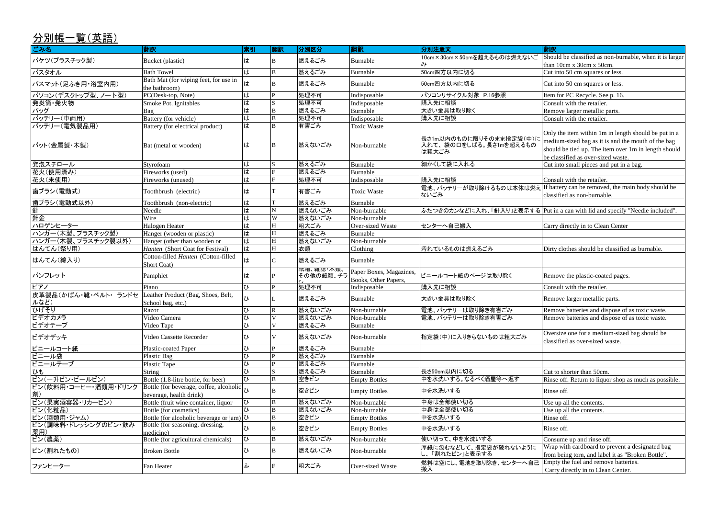medium-sized bag as it is and the mouth of the bag should be tied up. The item over 1m in length should be classified as over-sized waste. Cut into small pieces and put in a bag.

Should be classified as non-burnable, when it is larger than 10cm x 30cm x 50cm. Cut into 50 cm squares or less. Cut into 50 cm squares or less. Item for PC Recycle. See p. 16. Consult with the retailer. Remove larger metallic parts. Consult with the retailer. Only the item within 1m in length should be put in a

Consult with the retailer. If battery can be removed, the main body should be classified as non-burnable.

Put in a can with lid and specify "Needle included".

Carry directly in to Clean Center

Dirty clothes should be classified as burnable.

Remove the plastic-coated pages.

Consult with the retailer.

Remove larger metallic parts.

Remove batteries and dispose of as toxic waste. Remove batteries and dispose of as toxic waste.

Oversize one for a medium-sized bag should be classified as over-sized waste.

Cut to shorter than 50cm.

Rinse off. Return to liquor shop as much as possible.

Use up all the contents. Use up all the contents.

Consume up and rinse off.

| ごみ名                                | 翻訳                                                                 | 索引                        | 翻訳           | 分別区分      | 翻訳                                              | 分別注意文                                                      | 翻訳                                                |
|------------------------------------|--------------------------------------------------------------------|---------------------------|--------------|-----------|-------------------------------------------------|------------------------------------------------------------|---------------------------------------------------|
| バケツ(プラスチック製)                       | Bucket (plastic)                                                   | は                         | B            | 燃えるごみ     | Burnable                                        | 10cm×30cm×50cmを超えるものは燃えないご                                 | Should be<br>than 10cn                            |
| バスタオル                              | <b>Bath Towel</b>                                                  | ١Ħ                        | B            | 燃えるごみ     | Burnable                                        | 50cm四方以内に切る                                                | Cut into 5                                        |
| バスマット(足ふき用・浴室内用)                   | Bath Mat (for wiping feet, for use in<br>the bathroom)             | は                         | B            | 燃えるごみ     | Burnable                                        | 50cm四方以内に切る                                                | Cut into 5                                        |
| パソコン(デスクトップ型、ノート型)                 | PC(Desk-top, Note)                                                 | は                         |              | 処理不可      | Indisposable                                    | パソコンリサイクル対象 P.16参照                                         | Item for F                                        |
| 発炎筒·発火物                            | Smoke Pot, Ignitables                                              | は                         |              | 処理不可      | Indisposable                                    | 購入先に相談                                                     | Consult w                                         |
| バッグ                                | Bag                                                                | は                         | B            | 燃えるごみ     | Burnable                                        | 大きい金具は取り除く                                                 | Remove 1                                          |
| バッテリー(車両用)                         | Battery (for vehicle)                                              | $\overline{\overline{t}}$ | B            | 処理不可      | Indisposable                                    | 購入先に相談                                                     | Consult w                                         |
| バッテリー(電気製品用)                       | Battery (for electrical product)                                   | は                         | B            | 有害ごみ      | <b>Toxic Waste</b>                              |                                                            |                                                   |
| バット(金属製・木製)                        | Bat (metal or wooden)                                              | は                         | ΙB           | 燃えないごみ    | Non-burnable                                    | 長さ1m以内のものに限りそのまま指定袋(中)に<br>入れて、袋の口をしばる。長さ1mを超えるもの<br>は粗大ごみ | Only the i<br>medium-s<br>should be<br>be classif |
| 発泡スチロール                            | Styrofoam                                                          | は                         |              | 燃えるごみ     | Burnable                                        | 細かくして袋に入れる                                                 | Cut into s                                        |
| 花火(使用済み)                           | Fireworks (used)                                                   | は                         |              | 燃えるごみ     | Burnable                                        |                                                            |                                                   |
| 花火(未使用)                            | Fireworks (unused)                                                 | $\overline{\overline{t}}$ |              | 処理不可      | Indisposable                                    | 購入先に相談                                                     | Consult w                                         |
| 歯ブラシ(電動式)                          | Toothbrush (electric)                                              | は                         |              | 有害ごみ      | <b>Toxic Waste</b>                              | 電池、バッテリーが取り除けるものは本体は燃え<br>ないごみ                             | If battery<br>classified                          |
| 歯ブラシ(電動式以外)                        | Toothbrush (non-electric)                                          | は                         |              | 燃えるごみ     | Burnable                                        |                                                            |                                                   |
| 針                                  | Needle                                                             | は                         |              | 燃えないごみ    | Non-burnable                                    | ふたつきのカンなどに入れ、「針入り」と表示する Put in a c                         |                                                   |
| 針金                                 | Wire                                                               | は                         | W            | 燃えないごみ    | Non-burnable                                    |                                                            |                                                   |
| ハロゲンヒーター                           | Halogen Heater                                                     | $\overline{1}$            | H            | 粗大ごみ      | Over-sized Waste                                | センターへ自己搬入                                                  | Carry dire                                        |
| ハンガー(木製、プラスチック製)                   | Hanger (wooden or plastic)                                         | は                         | H            | 燃えるごみ     | Burnable                                        |                                                            |                                                   |
| ハンガー(木製、プラスチック製以外)                 | Hanger (other than wooden or                                       | せ                         | <b>H</b>     | 燃えないごみ    | Non-burnable                                    |                                                            |                                                   |
| はんてん(祭り用)                          | Hanten (Short Coat for Festival)                                   | lt                        | IH.          | 衣類        | Clothing                                        | 汚れているものは燃えるごみ                                              | Dirty clot                                        |
| はんてん(綿入り)                          | Cotton-filled Hanten (Cotton-filled<br>Short Coat)                 | は                         |              | 燃えるごみ     | Burnable                                        |                                                            |                                                   |
| パンフレット                             | Pamphlet                                                           | は                         |              | その他の紙類、チラ | Paper Boxes, Magazines,<br>Books, Other Papers, | ビニールコート紙のページは取り除く                                          | Remove t                                          |
| ピアノ                                | Piano                                                              | $\Omega$                  | D            | 処理不可      | Indisposable                                    | 購入先に相談                                                     | Consult w                                         |
| 皮革製品(かばん・靴・ベルト・ランドセ<br>ルなど)        | Leather Product (Bag, Shoes, Belt,<br>School bag, etc.)            | ひ                         |              | 燃えるごみ     | Burnable                                        | 大きい金具は取り除く                                                 | Remove 1                                          |
| ひげそり                               | Razor                                                              | ひ                         | $\mathbb{R}$ | 燃えないごみ    | Non-burnable                                    | 電池、バッテリーは取り除き有害ごみ                                          | Remove b                                          |
| ビデオカメラ                             | Video Camera                                                       | U                         | IV           | 燃えないごみ    | Non-burnable                                    | 電池、バッテリーは取り除き有害ごみ                                          | Remove b                                          |
| ビデオテープ                             | Video Tape                                                         | $\overline{v}$            | V            | 燃えるごみ     | Burnable                                        |                                                            |                                                   |
| ビデオデッキ                             | Video Cassette Recorder                                            | ひ                         | V            | 燃えないごみ    | Non-burnable                                    | 指定袋(中)に入りきらないものは粗大ごみ                                       | Oversize<br>classified                            |
| ビニールコート紙                           | Plastic-coated Paper                                               | ひ                         |              | 燃えるごみ     | Burnable                                        |                                                            |                                                   |
| ビニール袋                              | Plastic Bag                                                        | $\Lambda$                 |              | 燃えるごみ     | Burnable                                        |                                                            |                                                   |
| ビニールテープ                            | Plastic Tape                                                       | ひ                         |              | 燃えるごみ     | Burnable                                        |                                                            |                                                   |
| ひも                                 | String                                                             | ひ                         |              | 燃えるごみ     | Burnable                                        | 長さ50cm以内に切る                                                | Cut to sho                                        |
| ビン(一升ビン・ビールビン)                     | Bottle (1.8-litre bottle, for beer)                                | ひ                         | B            | 空きビン      | <b>Empty Bottles</b>                            | 中を水洗いする。なるべく酒屋等へ返す                                         | Rinse off.                                        |
| ビン(飲料用・コーヒー・酒類用・ドリンク<br> 剤)        | Bottle (for beverage, coffee, alcoholic<br>beverage, health drink) |                           |              | 空きビン      | <b>Empty Bottles</b>                            | 中を水洗いする                                                    | Rinse off.                                        |
| ビン(果実酒容器・リカービン)                    | Bottle (fruit wine container, liquor                               | ひ                         | B            | 燃えないごみ    | Non-burnable                                    | 中身は全部使い切る                                                  | Use up al                                         |
| ビン(化粧品)                            | Bottle (for cosmetics)                                             | $\mathcal{D}$             |              | 燃えないごみ    | Non-burnable                                    | 中身は全部使い切る                                                  | Use up al                                         |
| ビン(酒類用・ジャム)                        | Bottle (for alcoholic beverage or jam) $\upsilon$                  |                           | B            | 空きビン      | <b>Empty Bottles</b>                            | 中を水洗いする                                                    | Rinse off.                                        |
| ビン(調味料・ドレッシングのビン・飲み<br><u> 薬用)</u> | Bottle (for seasoning, dressing,<br>medicine)                      | ひ                         | B            | 空きビン      | <b>Empty Bottles</b>                            | 中を水洗いする                                                    | Rinse off.                                        |
| ビン(農薬)                             | Bottle (for agricultural chemicals)                                | $\mathfrak{D}$            | B            | 燃えないごみ    | Non-burnable                                    | 使い切って、中を水洗いする                                              | Consume                                           |
| ビン(割れたもの)                          | <b>Broken Bottle</b>                                               | ひ                         | B            | 燃えないごみ    | Non-burnable                                    | 厚紙に包むなどして、指定袋が破れないように<br>し、「割れたビン」と表示する                    | Wrap witl<br>from bein                            |
| ファンヒーター                            | Fan Heater                                                         | ふ                         |              | 粗大ごみ      | Over-sized Waste                                | 燃料は空にし、電池を取り除き、センターへ自己<br>搬入                               | Empty the<br>Carry dir                            |

Wrap with cardboard to prevent a designated bag from being torn, and label it as "Broken Bottle".

Empty the fuel and remove batteries.

Carry directly in to Clean Center.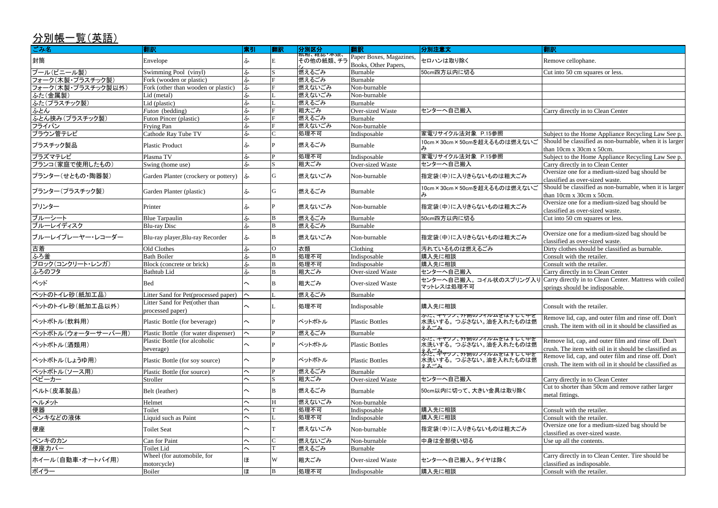Subject to the Home Appliance Recycling Law See p. Should be classified as non-burnable, when it is larger than 10cm x 30cm x 50cm.

Subject to the Home Appliance Recycling Law See p. Carry directly in to Clean Center

Oversize one for a medium-sized bag should be classified as over-sized waste.

Oversize one for a medium-sized bag should be classified as over-sized waste.

Cut into 50 cm squares or less.

Oversize one for a medium-sized bag should be classified as over-sized waste.

Dirty clothes should be classified as burnable.<br>Consult with the retailer.

Carry directly in to Clean Center

Carry directly in to Clean Center. Mattress with coiled springs should be indisposable.

Should be classified as non-burnable, when it is larger than 10cm x 30cm x 50cm.

Carry directly in to Clean Center Cut to shorter than 50cm and remove rather larger metal fittings.

Oversize one for a medium-sized bag should be classified as over-sized waste.

Carry directly in to Clean Center. Tire should be classified as indisposable. Consult with the retailer.

| ごみ名                | 翻訳                                                 | 索引                      | 翻訳             | 分別区分                                                | 翻訳                                              | 分別注意文                                                                             | 翻訳                                                       |
|--------------------|----------------------------------------------------|-------------------------|----------------|-----------------------------------------------------|-------------------------------------------------|-----------------------------------------------------------------------------------|----------------------------------------------------------|
| 封筒                 | Envelope                                           | ふ                       | E              | <mark>弒相、⁄稚誌"</mark> 本 <mark>狽、</mark><br>その他の紙類、チラ | Paper Boxes, Magazines,<br>Books, Other Papers, | セロハンは取り除く                                                                         | Remove cellophane.                                       |
| プール(ビニール製)         | Swimming Pool (vinyl)                              | ふ                       |                | 燃えるごみ                                               | Burnable                                        | 50cm四方以内に切る                                                                       | Cut into 50 cm squares o                                 |
| フォーク(木製・プラスチック製)   | Fork (wooden or plastic)                           | ふ                       |                | 燃えるごみ                                               | Burnable                                        |                                                                                   |                                                          |
| フォーク(木製・プラスチック製以外) | Fork (other than wooden or plastic)                | ふ                       | F              | 燃えないごみ                                              | Non-burnable                                    |                                                                                   |                                                          |
| ふた(金属製)            | Lid (metal)                                        | ふ                       |                | 燃えないごみ                                              | Non-burnable                                    |                                                                                   |                                                          |
| ふた(プラスチック製)        | Lid (plastic)                                      | ふ                       |                | 燃えるごみ                                               | Burnable                                        |                                                                                   |                                                          |
| ふとん                | Futon (bedding)                                    | ふ                       |                | 粗大ごみ                                                | <b>Over-sized Waste</b>                         | センターへ自己搬入                                                                         | Carry directly in to Clear                               |
| ふとん挟み(プラスチック製)     | Futon Pincer (plastic)                             | ふ                       |                | 燃えるごみ                                               | Burnable                                        |                                                                                   |                                                          |
| フライパン              | <b>Frying Pan</b>                                  | ふ                       |                | 燃えないごみ                                              | Non-burnable                                    |                                                                                   |                                                          |
| ブラウン管テレビ           | Cathode Ray Tube TV                                | ふ                       |                | 処理不可                                                | Indisposable                                    | 家電リサイクル法対象 P.15参照                                                                 | Subject to the Home App                                  |
| プラスチック製品           | <b>Plastic Product</b>                             | ふ                       |                | 燃えるごみ                                               | Burnable                                        | 10cm×30cm×50cmを超えるものは燃えないご<br>み                                                   | Should be classified as n<br>than 10cm x 30cm x 50c      |
| プラズマテレビ            | Plasma TV                                          | ふ                       | P              | 処理不可                                                | Indisposable                                    | 家電リサイクル法対象 P.15参照                                                                 | Subject to the Home App                                  |
| ブランコ(家庭で使用したもの)    | Swing (home use)                                   | ふ                       |                | 粗大ごみ                                                | Over-sized Waste                                | センターへ自己搬入                                                                         | Carry directly in to Clear                               |
| プランター(せともの・陶器製)    | Garden Planter (crockery or pottery)               | ふ                       | G              | 燃えないごみ                                              | Non-burnable                                    | 指定袋(中)に入りきらないものは粗大ごみ                                                              | Oversize one for a mediu<br>classified as over-sized v   |
| プランター(プラスチック製)     | Garden Planter (plastic)                           | ふ                       | G              | 燃えるごみ                                               | Burnable                                        | 10cm×30cm×50cmを超えるものは燃えないご                                                        | Should be classified as n<br>than 10cm x 30cm x 50c      |
| プリンター              | Printer                                            | ふ                       |                | 燃えないごみ                                              | Non-burnable                                    | 指定袋(中)に入りきらないものは粗大ごみ                                                              | Oversize one for a mediu<br>classified as over-sized v   |
| ブルーシート             | <b>Blue Tarpaulin</b>                              | ふ                       | B              | 燃えるごみ                                               | Burnable                                        | 50cm四方以内に切る                                                                       | Cut into 50 cm squares o                                 |
| ブルーレイディスク          | <b>Blu-ray Disc</b>                                | ふ                       | B              | 燃えるごみ                                               | Burnable                                        |                                                                                   |                                                          |
| ブルーレイプレーヤー・レコーダー   | Blu-ray player, Blu-ray Recorder                   | ふ                       | ΙB             | 燃えないごみ                                              | Non-burnable                                    | 指定袋(中)に入りきらないものは粗大ごみ                                                              | Oversize one for a mediu<br>classified as over-sized v   |
| 古着                 | Old Clothes                                        | ふ                       | $\overline{O}$ | 衣類                                                  | Clothing                                        | 汚れているものは燃えるごみ                                                                     | Dirty clothes should be o                                |
| ふろ釜                | <b>Bath Boiler</b>                                 | ふ                       | B              | 処理不可                                                | Indisposable                                    | 購入先に相談                                                                            | Consult with the retailer.                               |
| ブロック(コンクリート・レンガ)   | Block (concrete or brick)                          | ふ                       | B              | 処理不可                                                | Indisposable                                    | 購入先に相談                                                                            | Consult with the retailer.                               |
| ふろのフタ              | <b>Bathtub Lid</b>                                 | ふ                       | B              | 粗大ごみ                                                | Over-sized Waste                                | センターへ自己搬入                                                                         | Carry directly in to Clear                               |
| ベッド                | <b>Bed</b>                                         | $\sim$                  | IВ             | 粗大ごみ                                                | Over-sized Waste                                | センターへ自己搬入。 コイル状のスプリング入り<br>マットレスは処理不可                                             | Carry directly in to Clear<br>springs should be indisp   |
| ペットのトイレ砂(紙加工品)     | Litter Sand for Pet(processed paper)               | $\sim$                  |                | 燃えるごみ                                               | Burnable                                        |                                                                                   |                                                          |
| ペットのトイレ砂(紙加工品以外)   | Litter Sand for Pet(other than<br>processed paper) | $\widehat{\phantom{1}}$ |                | 処理不可                                                | Indisposable                                    | 購入先に相談                                                                            | Consult with the retailer.                               |
| ペットボトル(飲料用)        | Plastic Bottle (for beverage)                      | $\sim$                  | IP.            | ペットボトル                                              | <b>Plastic Bottles</b>                          | わいこ、キャッフ、外側のフィルムをはりして出る Remove lid, cap, and out<br>水洗いする。つぶさない。油を入れたものは燃<br>ラスゴエ | crush. The item with oil                                 |
| ペットボトル(ウォーターサーバー用) | Plastic Bottle (for water dispenser)               | $\sim$                  | IP.            | 燃えるごみ                                               | Burnable                                        |                                                                                   |                                                          |
| ペットボトル(酒類用)        | Plastic Bottle (for alcoholic<br>beverage)         | $\hat{\phantom{1}}$     |                | ペットボトル                                              | <b>Plastic Bottles</b>                          | ふた、キャツノ、外側のノイルムをはすして甲を<br>水洗いする。つぶさない。油を入れたものは燃                                   | Remove lid, cap, and out<br>crush. The item with oil     |
| ペットボトル(しょうゆ用)      | Plastic Bottle (for soy source)                    | $\sim$                  |                | ペットボトル                                              | <b>Plastic Bottles</b>                          | またご科ャッフ、外側のフィルムをはりして出を<br>水洗いする。つぶさない。油を入れたものは燃<br>ラスゴム                           | Remove lid, cap, and out<br>crush. The item with oil     |
| ペットボトル(ソース用)       | Plastic Bottle (for source)                        | $\widehat{\phantom{1}}$ | P              | 燃えるごみ                                               | Burnable                                        |                                                                                   |                                                          |
| ベビーカー              | Stroller                                           | $\widehat{\phantom{1}}$ |                | 粗大ごみ                                                | <b>Over-sized Waste</b>                         | センターへ自己搬入                                                                         | Carry directly in to Clear                               |
| ベルト(皮革製品)          | Belt (leather)                                     | $\widehat{\phantom{1}}$ | ΙB             | 燃えるごみ                                               | Burnable                                        | 50cm以内に切って、大きい金具は取り除く                                                             | Cut to shorter than 50cm<br>metal fittings.              |
| ヘルメット              | Helmet                                             | $\widehat{\phantom{1}}$ | IН             | 燃えないごみ                                              | Non-burnable                                    |                                                                                   |                                                          |
| 便器                 | Toilet                                             | $\sim$                  |                | 処理不可                                                | Indisposable                                    | 購入先に相談                                                                            | Consult with the retailer.                               |
| ペンキなどの液体           | Liquid such as Paint                               | $\widehat{\phantom{1}}$ |                | 処理不可                                                | Indisposable                                    | 購入先に相談                                                                            | Consult with the retailer.                               |
| 便座                 | <b>Toilet Seat</b>                                 | $\widehat{\phantom{1}}$ |                | 燃えないごみ                                              | Non-burnable                                    | 指定袋(中)に入りきらないものは粗大ごみ                                                              | Oversize one for a mediu<br>classified as over-sized v   |
| ペンキのカン             | Can for Paint                                      | $\widehat{\phantom{1}}$ |                | 燃えないごみ                                              | Non-burnable                                    | 中身は全部使い切る                                                                         | Use up all the contents.                                 |
| 便座力バー              | <b>Toilet Lid</b>                                  | $\sim$                  |                | 燃えるごみ                                               | Burnable                                        |                                                                                   |                                                          |
| ホイール(自動車・オートバイ用)   | Wheel (for automobile, for<br>motorcycle)          | ほ                       | W              | 粗大ごみ                                                | Over-sized Waste                                | センターへ自己搬入。タイヤは除く                                                                  | Carry directly in to Clear<br>classified as indisposable |
| ボイラー               | Boiler                                             | ほ                       | B              | 処理不可                                                | Indisposable                                    | 購入先に相談                                                                            | Consult with the retailer.                               |
|                    |                                                    |                         |                |                                                     |                                                 |                                                                                   |                                                          |

Cut into 50 cm squares or less.

### **Fully in to Clean Center**

Remove lid, cap, and outer film and rinse off. Don't crush. The item with oil in it should be classified as

Remove lid, cap, and outer film and rinse off. Don't crush. The item with oil in it should be classified as Remove lid, cap, and outer film and rinse off. Don't crush. The item with oil in it should be classified as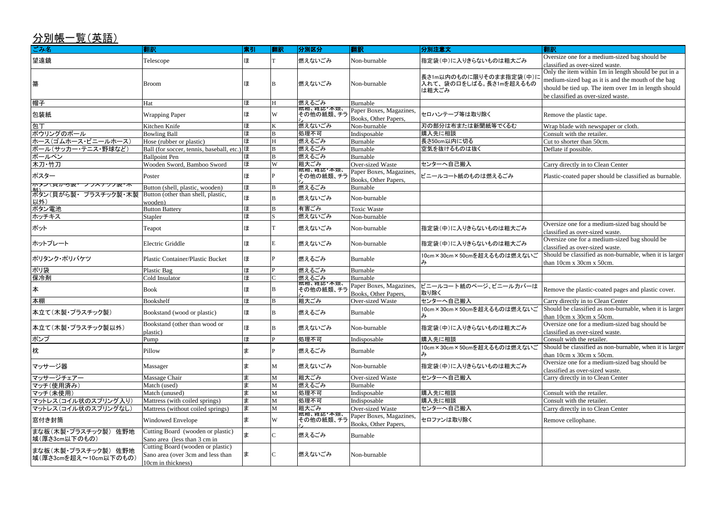Oversize one for a medium-sized bag should be classified as over-sized waste.

Only the item within 1m in length should be put in a medium-sized bag as it is and the mouth of the bag should be tied up. The item over 1m in length should be classified as over-sized waste.

Wrap blade with newspaper or cloth.

Consult with the retailer. Cut to shorter than 50cm.

Carry directly in to Clean Center

Plastic-coated paper should be classified as burnable.

Oversize one for a medium-sized bag should be

Should be classified as non-burnable, when it is larger than 10cm x 30cm x 50cm.

Oversize one for a medium-sized bag should be

Consult with the retailer. Should be classified as non-burnable, when it is larger

**Oversize one for a medium-sized bag should be** classified as over-sized waste.

Carry directly in to Clean Center

Consult with the retailer. Carry directly in to Clean Center

classified as over-sized waste.

Oversize one for a medium-sized bag should be

classified as over-sized waste. Should be classified as non-burnable, when it is larger

| ごみ名                                           | 翻訳                                                                     | 索引 | 翻訳           | 分別区分                     | 翻訳                                              | 分別注意文                                                      | 翻訳                                                                                                              |
|-----------------------------------------------|------------------------------------------------------------------------|----|--------------|--------------------------|-------------------------------------------------|------------------------------------------------------------|-----------------------------------------------------------------------------------------------------------------|
| 望遠鏡                                           | Telescope                                                              | ほ  |              | 燃えないごみ                   | Non-burnable                                    | 指定袋(中)に入りきらないものは粗大ごみ                                       | Oversize one for a mediu<br>classified as over-sized v                                                          |
| 箒                                             | <b>Broom</b>                                                           | ほ  | B            | 燃えないごみ                   | Non-burnable                                    | 長さ1m以内のものに限りそのまま指定袋(中)に<br>入れて、袋の口をしばる。長さ1mを超えるもの<br>は粗大ごみ | Only the item within 1m<br>medium-sized bag as it is<br>should be tied up. The it<br>be classified as over-size |
| 帽子                                            | Hat                                                                    | ほ  | H            | 燃えるごみ                    | Burnable                                        |                                                            |                                                                                                                 |
| 包装紙                                           | <b>Wrapping Paper</b>                                                  | ほ  | W            | (机相、(稚誌 人知,<br>その他の紙類、チラ | Paper Boxes, Magazines,<br>Books, Other Papers, | セロハンテープ等は取り除く                                              | Remove the plastic tape.                                                                                        |
| 包丁                                            | Kitchen Knife                                                          | ほ  |              | 燃えないごみ                   | Non-burnable                                    | 刃の部分は布または新聞紙等でくるむ                                          | Wrap blade with newspa                                                                                          |
| ボウリングのボール                                     | <b>Bowling Ball</b>                                                    | ほ  | B            | 処理不可                     | Indisposable                                    | 購入先に相談                                                     | Consult with the retailer.                                                                                      |
| ホース(ゴムホース・ビニールホース)                            | Hose (rubber or plastic)                                               | ほ  | H            | 燃えるごみ                    | Burnable                                        | 長さ50cm以内に切る                                                | Cut to shorter than 50cm                                                                                        |
| ポール(サッカー・テニス・野球など)                            | Ball (for soccer, tennis, baseball, etc.)   <b>E</b>                   |    | B            | 燃えるごみ                    | Burnable                                        | 空気を抜けるものは抜く                                                | Deflate if possible.                                                                                            |
| ボールペン                                         | <b>Ballpoint Pen</b>                                                   | ほ  | B            | 燃えるごみ                    | Burnable                                        |                                                            |                                                                                                                 |
| 木刀・竹刀                                         | Wooden Sword, Bamboo Sword                                             | ほ  | W            | 粗大ごみ                     | <b>Over-sized Waste</b>                         | センターへ自己搬入                                                  | Carry directly in to Clear                                                                                      |
| ポスター                                          | Poster                                                                 | ほ  |              |                          | Paper Boxes, Magazines,<br>Books, Other Papers, | ビニールコート紙のものは燃えるごみ                                          | Plastic-coated paper sho                                                                                        |
| かアンス只かり表<br>フフスナツフ表 木                         | Button (shell, plastic, wooden)                                        | ほ  | B            | 燃えるごみ                    | Burnable                                        |                                                            |                                                                                                                 |
| ボタン(貝がら製・プラスチック製・木製<br>以外)                    | Button (other than shell, plastic,<br>wooden)                          | ほ  | B            | 燃えないごみ                   | Non-burnable                                    |                                                            |                                                                                                                 |
| ボタン電池                                         | <b>Button Battery</b>                                                  | ほ  | B            | 有害ごみ                     | <b>Toxic Waste</b>                              |                                                            |                                                                                                                 |
| ホッチキス                                         | <b>Stapler</b>                                                         | ほ  |              | 燃えないごみ                   | Non-burnable                                    |                                                            |                                                                                                                 |
| ポット                                           | Teapot                                                                 | ほ  |              | 燃えないごみ                   | Non-burnable                                    | 指定袋(中)に入りきらないものは粗大ごみ                                       | Oversize one for a mediu<br>classified as over-sized v                                                          |
| ホットプレート                                       | <b>Electric Griddle</b>                                                | ほ  | E            | 燃えないごみ                   | Non-burnable                                    | 指定袋(中)に入りきらないものは粗大ごみ                                       | Oversize one for a mediu<br>classified as over-sized v                                                          |
| ポリタンク・ポリバケツ                                   | <b>Plastic Container/Plastic Bucket</b>                                | ほ  |              | 燃えるごみ                    | Burnable                                        | 10cm×30cm×50cmを超えるものは燃えないご<br>み                            | Should be classified as n<br>than 10cm x 30cm x 50c                                                             |
| ポリ袋                                           | Plastic Bag                                                            | ほ  |              | 燃えるごみ                    | Burnable                                        |                                                            |                                                                                                                 |
| 保冷剤                                           | Cold Insulator                                                         | ほ  |              | 燃えるごみ                    | Burnable                                        |                                                            |                                                                                                                 |
| 本                                             | <b>Book</b>                                                            | ほ  | ΙB           | その他の紙類、チラ                | Paper Boxes, Magazines,<br>Books, Other Papers, | ビニールコート紙のページ、ビニールカバーは<br>取り除く                              | Remove the plastic-coate                                                                                        |
| 本棚                                            | Bookshelf                                                              | ほ  | B            | 粗大ごみ                     | <b>Over-sized Waste</b>                         | センターへ自己搬入                                                  | Carry directly in to Clear                                                                                      |
| 本立て(木製・プラスチック製)                               | Bookstand (wood or plastic)                                            | ほ  | B            | 燃えるごみ                    | Burnable                                        | 10cm×30cm×50cmを超えるものは燃えないご<br>み                            | Should be classified as n<br>than 10cm x 30cm x 50c                                                             |
| 本立て(木製・プラスチック製以外)                             | Bookstand (other than wood or<br>plastic)                              | ほ  | B            | 燃えないごみ                   | Non-burnable                                    | 指定袋(中)に入りきらないものは粗大ごみ                                       | Oversize one for a mediu<br>classified as over-sized v                                                          |
| ポンプ                                           | Pump                                                                   | ほ  |              | 処理不可                     | Indisposable                                    | 購入先に相談                                                     | Consult with the retailer.                                                                                      |
| 枕                                             | Pillow                                                                 | ∣≢ |              | 燃えるごみ                    | Burnable                                        | 10cm×30cm×50cmを超えるものは燃えないご<br>み                            | Should be classified as n<br>than 10cm x 30cm x 50c                                                             |
| マッサージ器                                        | Massager                                                               | ∣≢ | M            | 燃えないごみ                   | Non-burnable                                    | 指定袋(中)に入りきらないものは粗大ごみ                                       | Oversize one for a mediu<br>classified as over-sized v                                                          |
| マッサージチェアー                                     | Massage Chair                                                          | ま  |              | 粗大ごみ                     | Over-sized Waste                                | センターへ自己搬入                                                  | Carry directly in to Clear                                                                                      |
| マッチ(使用済み)                                     | Match (used)                                                           | ま  | М            | 燃えるごみ                    | Burnable                                        |                                                            |                                                                                                                 |
| マッチ(未使用)                                      | Match (unused)                                                         | Ħ  | М            | 処理不可                     | Indisposable                                    | 購入先に相談                                                     | Consult with the retailer.                                                                                      |
| マットレス(コイル状のスプリング入り)                           | Mattress (with coiled springs)                                         | lま | М            | 処理不可                     | Indisposable                                    | 購入先に相談                                                     | Consult with the retailer.                                                                                      |
| マットレス(コイル状のスプリングなし)                           | Mattress (without coiled springs)                                      | Ħ  | М            | 粗大ごみ                     | Over-sized Waste                                | センターへ自己搬入                                                  | Carry directly in to Clear                                                                                      |
| 窓付き封筒                                         | Windowed Envelope                                                      | ∣≢ | W            | 概相、雑誌╹夲頬、<br>その他の紙類、チラ   | Paper Boxes, Magazines,<br>Books, Other Papers, | セロファンは取り除く                                                 | Remove cellophane.                                                                                              |
| まな板(木製・プラスチック製) 佐野地<br> 域(厚さ3cm以下のもの)         | Cutting Board (wooden or plastic)<br>Sano area (less than 3 cm in)     | ∣≢ | $\mathsf{C}$ | 燃えるごみ                    | Burnable                                        |                                                            |                                                                                                                 |
| まな板(木製・プラスチック製) 佐野地<br> 域(厚さ3cmを超え~10cm以下のもの) | Cutting Board (wooden or plastic)<br>Sano area (over 3cm and less than | lま |              | 燃えないごみ                   | Non-burnable                                    |                                                            |                                                                                                                 |
|                                               | 10cm in thickness)                                                     |    |              |                          |                                                 |                                                            |                                                                                                                 |

than 10cm x 30cm x 50cm.

Remove the plastic-coated pages and plastic cover.

Carry directly in to Clean Center

classified as over-sized waste.

than 10cm x 30cm x 50cm.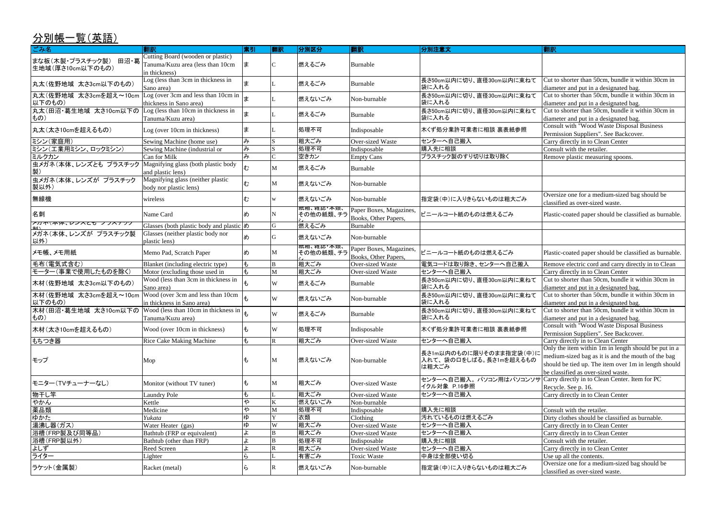Cut to shorter than 50cm, bundle it within 30cm in diameter and put in a designated bag. Cut to shorter than 50cm, bundle it within 30cm in

diameter and put in a designated bag.

Cut to shorter than 50cm, bundle it within 30cm in diameter and put in a designated bag.

Consult with "Wood Waste Disposal Business

Oversize one for a medium-sized bag should be classified as over-sized waste.

Plastic-coated paper should be classified as burnable.

Plastic-coated paper should be classified as burnable.

Remove electric cord and carry directly in to Clean

Carry directly in to Clean Center

Permission Suppliers". See Backcover.

Carry directly in to Clean Center

Remove plastic measuring spoons.

Permission Suppliers". See Backcover. Carry directly in to Clean Center

| ごみ名                                                           | 翻訳                                                                    | 索引                        | 翻訳     | 分別区分              | 翻訳                      | 分別注意文                              | 翻訳                                                     |
|---------------------------------------------------------------|-----------------------------------------------------------------------|---------------------------|--------|-------------------|-------------------------|------------------------------------|--------------------------------------------------------|
| まな板(木製・プラスチック製) 田沼・葛                                          | Cutting Board (wooden or plastic)                                     |                           |        |                   |                         |                                    |                                                        |
| 生地域(厚さ10cm以下のもの)                                              | Tanuma/Kuzu area (less than 10cm                                      | ま                         |        | 燃えるごみ             | Burnable                |                                    |                                                        |
|                                                               | in thickness)                                                         |                           |        |                   |                         |                                    |                                                        |
| 丸太(佐野地域 太さ3cm以下のもの)                                           | Log (less than 3cm in thickness in                                    | ま                         |        | 燃えるごみ             | Burnable                | 長さ50cm以内に切り、直径30cm以内に束ねて           | Cut to shorter than 50cm                               |
|                                                               | Sano area)                                                            |                           |        |                   |                         | 袋に入れる                              | diameter and put in a des                              |
| 丸太(佐野地域 太さ3cmを超え~10cm                                         | Log (over 3cm and less than 10cm in                                   |                           |        | 燃えないごみ            | Non-burnable            | 長さ50cm以内に切り、直径30cm以内に束ねて           | Cut to shorter than 50cm                               |
| 以下のもの)                                                        | thickness in Sano area)                                               |                           |        |                   |                         | 袋に入れる                              | diameter and put in a des                              |
| 丸太(田沼·葛生地域 太さ10cm以下の                                          | Log (less than 10cm in thickness in                                   | l≢                        |        | 燃えるごみ             | Burnable                | 長さ50cm以内に切り、直径30cm以内に束ねて           | Cut to shorter than 50cm                               |
| もの)                                                           | Tanuma/Kuzu area)                                                     |                           |        |                   |                         | 袋に入れる                              | diameter and put in a des                              |
| 丸太(太さ10cmを超えるもの)                                              | Log (over 10cm in thickness)                                          | ま                         |        | 処理不可              | Indisposable            | 木くず処分業許可業者に相談 裏表紙参照                | Consult with "Wood Wa                                  |
|                                                               |                                                                       |                           |        |                   |                         |                                    | Permission Suppliers". S                               |
| ミシン(家庭用)                                                      | Sewing Machine (home use)                                             | み                         |        | 粗大ごみ              | Over-sized Waste        | センターへ自己搬入                          | Carry directly in to Clear                             |
| ミシン(工業用ミシン、ロックミシン)                                            | Sewing Machine (industrial or                                         | $\overline{\mathcal{F}}$  |        | 処理不可              | Indisposable            | 購入先に相談                             | $\overline{\text{Const}}$ with the retailer.           |
| ミルクカン                                                         | Can for Milk                                                          | み                         |        | 空きカン              | <b>Empty Cans</b>       | プラスチック製のすり切りは取り除く                  | Remove plastic measurin                                |
| 虫メガネ(本体、レンズとも プラスチック                                          | Magnifying glass (both plastic body                                   | む                         | M      | 燃えるごみ             | Burnable                |                                    |                                                        |
|                                                               | and plastic lens)                                                     |                           |        |                   |                         |                                    |                                                        |
| 虫メガネ(本体、レンズが プラスチック                                           | Magnifying glass (neither plastic                                     | む                         | M      | 燃えないごみ            | Non-burnable            |                                    |                                                        |
| 製以外)                                                          | body nor plastic lens)                                                |                           |        |                   |                         |                                    |                                                        |
| 無線機                                                           | wireless                                                              | む                         | W      | 燃えないごみ            | Non-burnable            | 指定袋(中)に入りきらないものは粗大ごみ               | Oversize one for a mediu                               |
|                                                               |                                                                       |                           |        | <b>微相、</b> 稚誌"本親、 |                         |                                    | classified as over-sized v                             |
| 名刺                                                            | Name Card                                                             | め                         | N      | その他の紙類、チラ         | Paper Boxes, Magazines, | ビニールコート紙のものは燃えるごみ                  | Plastic-coated paper sho                               |
| プルホ(本)外、レンスとも ノフスナクブ                                          |                                                                       |                           |        |                   | Books, Other Papers,    |                                    |                                                        |
|                                                               | Glasses (both plastic body and plastic $\phi$ )                       |                           | G      | 燃えるごみ             | Burnable                |                                    |                                                        |
| メガネ(本体、レンズが プラスチック製                                           | Glasses (neither plastic body nor                                     | め                         | G      | 燃えないごみ            | Non-burnable            |                                    |                                                        |
| 以外)                                                           | plastic lens)                                                         |                           |        |                   |                         |                                    |                                                        |
| メモ帳、メモ用紙                                                      | Memo Pad, Scratch Paper                                               | め                         | M      | その他の紙類、チラ         | Paper Boxes, Magazines, | ビニールコート紙のものは燃えるごみ                  | Plastic-coated paper sho                               |
|                                                               |                                                                       |                           |        | 粗大ごみ              | Books, Other Papers,    |                                    |                                                        |
| 毛布(電気式含む)                                                     | Blanket (including electric type)                                     | $ \ddagger$<br>$\ddot{+}$ | B<br>M |                   | Over-sized Waste        | 電気コードは取り除き、センターへ自己搬入<br>センターへ自己搬入  | Remove electric cord and                               |
| モーター(事業で使用したものを除く)                                            | Motor (excluding those used in<br>Wood (less than 3cm in thickness in |                           |        | 粗大ごみ              | Over-sized Waste        |                                    | Carry directly in to Clear<br>Cut to shorter than 50cm |
| 木材(佐野地域 太さ3cm以下のもの)                                           |                                                                       | $\pm$                     | W      | 燃えるごみ             | Burnable                | 長さ50cm以内に切り、直径30cm以内に束ねて<br>袋に入れる  |                                                        |
| 木材(佐野地域 太さ3cmを超え~10cm                                         | Sano area)<br>Wood (over 3cm and less than 10cm                       |                           |        |                   |                         |                                    | diameter and put in a des<br>Cut to shorter than 50cm  |
| 以下のもの)                                                        | in thickness in Sano area)                                            |                           | W      | 燃えないごみ            | Non-burnable            | 長さ50cm以内に切り、直径30cm以内に束ねて<br>袋に入れる  |                                                        |
| 木材(田沼・葛生地域 太さ10cm以下の Wood (less than 10cm in thickness in   + |                                                                       |                           |        |                   |                         |                                    | diameter and put in a des<br>Cut to shorter than 50cm  |
| もの)                                                           | Tanuma/Kuzu area)                                                     |                           | W      | 燃えるごみ             | Burnable                | 長さ50cm以内に切り、直径30cm以内に束ねて<br> 袋に入れる | diameter and put in a des                              |
|                                                               |                                                                       |                           |        |                   |                         |                                    | Consult with "Wood Wa                                  |
| 木材(太さ10cmを超えるもの)                                              | Wood (over 10cm in thickness)                                         | lŧ.                       | W      | 処理不可              | Indisposable            | 木くず処分業許可業者に相談 裏表紙参照                | Permission Suppliers". S                               |
| もちつき器                                                         | <b>Rice Cake Making Machine</b>                                       | ŧ                         | R      | 粗大ごみ              | <b>Over-sized Waste</b> | センターへ自己搬入                          | Carry directly in to Clear                             |
|                                                               |                                                                       |                           |        |                   |                         |                                    | Only the item within 1m                                |
|                                                               |                                                                       |                           |        |                   |                         | 長さ1m以内のものに限りそのまま指定袋(中)に            | medium-sized bag as it is                              |
| モップ                                                           | Mop                                                                   | も                         | M      | 燃えないごみ            | Non-burnable            | 入れて、袋の口をしばる。長さ1mを超えるもの             | should be tied up. The ite                             |
|                                                               |                                                                       |                           |        |                   |                         | は粗大ごみ                              | be classified as over-size                             |
|                                                               |                                                                       |                           |        |                   |                         | センターへ自己搬入。 パソコン用はパソコンソサ            | Carry directly in to Clear                             |
| モニター(TVチューナーなし)                                               | Monitor (without TV tuner)                                            | ŧ                         | M      | 粗大ごみ              | Over-sized Waste        | イクル対象 P.16参照                       | Recycle. See p. 16.                                    |
| 物干し竿                                                          | <b>Laundry Pole</b>                                                   | ŧ                         |        | 粗大ごみ              | Over-sized Waste        | センターへ自己搬入                          | Carry directly in to Clear                             |
| やかん                                                           | Kettle                                                                | や                         | K      | 燃えないごみ            | Non-burnable            |                                    |                                                        |
| 薬品類                                                           | Medicine                                                              | ゃ                         | M      | 処理不可              | Indisposable            | 購入先に相談                             | Consult with the retailer.                             |
| ゆかた                                                           | Yukata                                                                | ゆ                         |        | 衣類                | Clothing                | 汚れているものは燃えるごみ                      | Dirty clothes should be o                              |
| 湯沸し器(ガス)                                                      | Water Heater (gas)                                                    | ゆ                         | W      | 粗大ごみ              | Over-sized Waste        | センターへ自己搬入                          | Carry directly in to Clear                             |
| 浴槽(FRP製及び同等品)                                                 | Bathtub (FRP or equivalent)                                           | ቱ                         | B      | 粗大ごみ              | Over-sized Waste        | センターへ自己搬入                          | Carry directly in to Clear                             |
| 浴槽(FRP製以外)                                                    | Bathtub (other than FRP)                                              | ょ                         | B      | 処理不可              | Indisposable            | 購入先に相談                             | Consult with the retailer.                             |
| よしず                                                           | Reed Screen                                                           |                           | R      | 粗大ごみ              | Over-sized Waste        | センターへ自己搬入                          | Carry directly in to Clear                             |
| ライター                                                          | Lighter                                                               | ら                         |        | 有害ごみ              | <b>Toxic Waste</b>      | 中身は全部使い切る                          | Use up all the contents.                               |
|                                                               |                                                                       |                           |        |                   |                         |                                    | Oversize one for a mediu                               |
| ラケット(金属製)                                                     | Racket (metal)                                                        | ظ                         | IR.    | 燃えないごみ            | Non-burnable            | 指定袋(中)に入りきらないものは粗大ごみ               | classified as over-sized v                             |

Oversize one for a medium-sized bag should be classified as over-sized waste.

Cut to shorter than 50cm, bundle it within 30cm in diameter and put in a designated bag. Cut to shorter than 50cm, bundle it within 30cm in

diameter and put in a designated bag.

Cut to shorter than 50cm, bundle it within 30cm in diameter and put in a designated bag.

Consult with "Wood Waste Disposal Business

Only the item within 1m in length should be put in a medium-sized bag as it is and the mouth of the bag should be tied up. The item over 1m in length should

be classified as over-sized waste.

Carry directly in to Clean Center. Item for PC Recycle. See p. 16.

Carry directly in to Clean Center

Dirty clothes should be classified as burnable.

Carry directly in to Clean Center

Carry directly in to Clean Center

Consult with the retailer.

Carry directly in to Clean Center